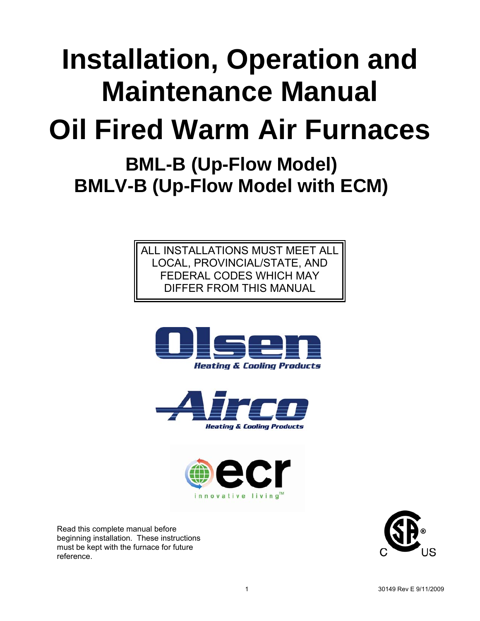# **Installation, Operation and Maintenance Manual**

# **Oil Fired Warm Air Furnaces**

# **BML-B (Up-Flow Model) BMLV-B (Up-Flow Model with ECM)**

ALL INSTALLATIONS MUST MEET ALL LOCAL, PROVINCIAL/STATE, AND FEDERAL CODES WHICH MAY DIFFER FROM THIS MANUAL







Read this complete manual before beginning installation. These instructions must be kept with the furnace for future reference.

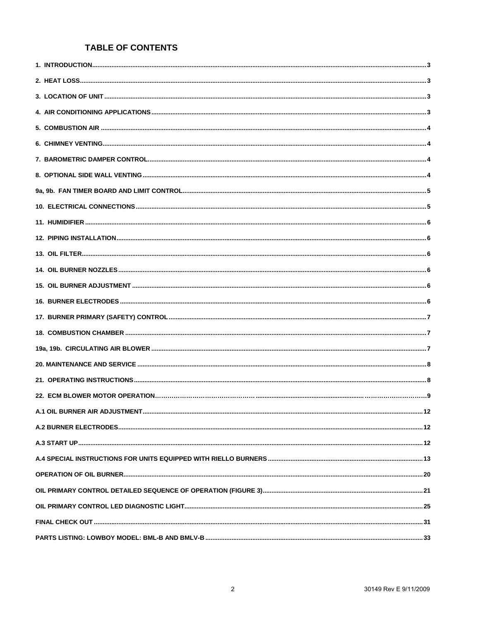#### **TABLE OF CONTENTS**

| A.1 OIL BURNER AIR ADJUSTMENT. | . 12 |
|--------------------------------|------|
|                                |      |
|                                |      |
|                                |      |
|                                |      |
|                                |      |
|                                |      |
|                                |      |
|                                |      |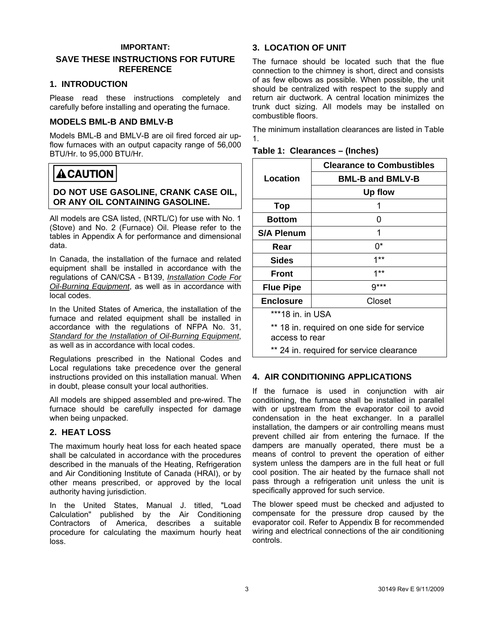#### **IMPORTANT:**

#### **SAVE THESE INSTRUCTIONS FOR FUTURE REFERENCE**

#### **1. INTRODUCTION**

Please read these instructions completely and carefully before installing and operating the furnace.

#### **MODELS BML-B AND BMLV-B**

Models BML-B and BMLV-B are oil fired forced air upflow furnaces with an output capacity range of 56,000 BTU/Hr. to 95,000 BTU/Hr.

# **ACAUTION**

#### **DO NOT USE GASOLINE, CRANK CASE OIL, OR ANY OIL CONTAINING GASOLINE.**

All models are CSA listed, (NRTL/C) for use with No. 1 (Stove) and No. 2 (Furnace) Oil. Please refer to the tables in Appendix A for performance and dimensional data.

In Canada, the installation of the furnace and related equipment shall be installed in accordance with the regulations of CAN/CSA - B139, *Installation Code For Oil-Burning Equipment*, as well as in accordance with local codes.

In the United States of America, the installation of the furnace and related equipment shall be installed in accordance with the regulations of NFPA No. 31, *Standard for the Installation of Oil-Burning Equipment*, as well as in accordance with local codes.

Regulations prescribed in the National Codes and Local regulations take precedence over the general instructions provided on this installation manual. When in doubt, please consult your local authorities.

All models are shipped assembled and pre-wired. The furnace should be carefully inspected for damage when being unpacked.

#### **2. HEAT LOSS**

The maximum hourly heat loss for each heated space shall be calculated in accordance with the procedures described in the manuals of the Heating, Refrigeration and Air Conditioning Institute of Canada (HRAI), or by other means prescribed, or approved by the local authority having jurisdiction.

In the United States, Manual J. titled, "Load Calculation" published by the Air Conditioning Contractors of America, describes a suitable procedure for calculating the maximum hourly heat loss.

#### **3. LOCATION OF UNIT**

The furnace should be located such that the flue connection to the chimney is short, direct and consists of as few elbows as possible. When possible, the unit should be centralized with respect to the supply and return air ductwork. A central location minimizes the trunk duct sizing. All models may be installed on combustible floors.

The minimum installation clearances are listed in Table 1.

|                   | <b>Clearance to Combustibles</b>           |  |  |  |  |  |  |
|-------------------|--------------------------------------------|--|--|--|--|--|--|
| Location          | <b>BML-B and BMLV-B</b>                    |  |  |  |  |  |  |
|                   | <b>Up flow</b>                             |  |  |  |  |  |  |
| Top               | 1                                          |  |  |  |  |  |  |
| <b>Bottom</b>     | 0                                          |  |  |  |  |  |  |
| <b>S/A Plenum</b> | 1                                          |  |  |  |  |  |  |
| Rear              | 0*                                         |  |  |  |  |  |  |
| Sides             | $1***$                                     |  |  |  |  |  |  |
| Front             | $1**$                                      |  |  |  |  |  |  |
| <b>Flue Pipe</b>  | $9***$                                     |  |  |  |  |  |  |
| <b>Enclosure</b>  | Closet                                     |  |  |  |  |  |  |
| ***18 in. in USA  |                                            |  |  |  |  |  |  |
| access to rear    | ** 18 in. required on one side for service |  |  |  |  |  |  |
|                   | ** 24 in. required for service clearance   |  |  |  |  |  |  |

#### **Table 1: Clearances – (Inches)**

#### **4. AIR CONDITIONING APPLICATIONS**

If the furnace is used in conjunction with air conditioning, the furnace shall be installed in parallel with or upstream from the evaporator coil to avoid condensation in the heat exchanger. In a parallel installation, the dampers or air controlling means must prevent chilled air from entering the furnace. If the dampers are manually operated, there must be a means of control to prevent the operation of either system unless the dampers are in the full heat or full cool position. The air heated by the furnace shall not pass through a refrigeration unit unless the unit is specifically approved for such service.

The blower speed must be checked and adjusted to compensate for the pressure drop caused by the evaporator coil. Refer to Appendix B for recommended wiring and electrical connections of the air conditioning controls.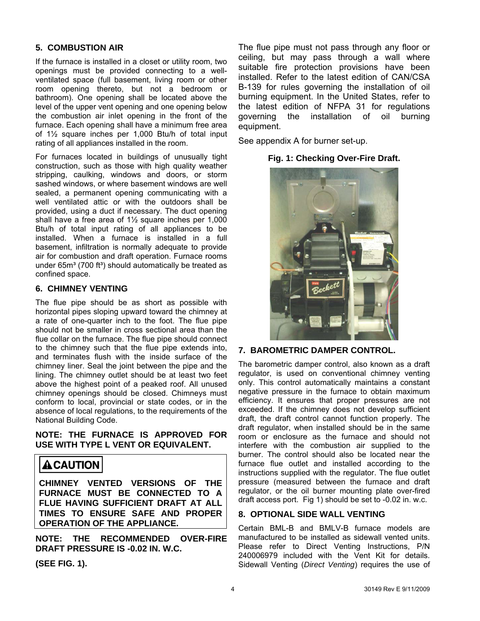#### **5. COMBUSTION AIR**

If the furnace is installed in a closet or utility room, two openings must be provided connecting to a wellventilated space (full basement, living room or other room opening thereto, but not a bedroom or bathroom). One opening shall be located above the level of the upper vent opening and one opening below the combustion air inlet opening in the front of the furnace. Each opening shall have a minimum free area of 1½ square inches per 1,000 Btu/h of total input rating of all appliances installed in the room.

For furnaces located in buildings of unusually tight construction, such as those with high quality weather stripping, caulking, windows and doors, or storm sashed windows, or where basement windows are well sealed, a permanent opening communicating with a well ventilated attic or with the outdoors shall be provided, using a duct if necessary. The duct opening shall have a free area of 1½ square inches per 1,000 Btu/h of total input rating of all appliances to be installed. When a furnace is installed in a full basement, infiltration is normally adequate to provide air for combustion and draft operation. Furnace rooms under  $65m<sup>3</sup>$  (700 ft<sup>3</sup>) should automatically be treated as confined space.

#### **6. CHIMNEY VENTING**

The flue pipe should be as short as possible with horizontal pipes sloping upward toward the chimney at a rate of one-quarter inch to the foot. The flue pipe should not be smaller in cross sectional area than the flue collar on the furnace. The flue pipe should connect to the chimney such that the flue pipe extends into, and terminates flush with the inside surface of the chimney liner. Seal the joint between the pipe and the lining. The chimney outlet should be at least two feet above the highest point of a peaked roof. All unused chimney openings should be closed. Chimneys must conform to local, provincial or state codes, or in the absence of local regulations, to the requirements of the National Building Code.

**NOTE: THE FURNACE IS APPROVED FOR USE WITH TYPE L VENT OR EQUIVALENT.** 

# **A CAUTION**

**CHIMNEY VENTED VERSIONS OF THE FURNACE MUST BE CONNECTED TO A FLUE HAVING SUFFICIENT DRAFT AT ALL TIMES TO ENSURE SAFE AND PROPER OPERATION OF THE APPLIANCE.** 

**NOTE: THE RECOMMENDED OVER-FIRE DRAFT PRESSURE IS -0.02 IN. W.C.** 

**(SEE FIG. 1).** 

The flue pipe must not pass through any floor or ceiling, but may pass through a wall where suitable fire protection provisions have been installed. Refer to the latest edition of CAN/CSA B-139 for rules governing the installation of oil burning equipment. In the United States, refer to the latest edition of NFPA 31 for regulations governing the installation of oil burning equipment.

See appendix A for burner set-up.

#### **Fig. 1: Checking Over-Fire Draft.**



#### **7. BAROMETRIC DAMPER CONTROL.**

The barometric damper control, also known as a draft regulator, is used on conventional chimney venting only. This control automatically maintains a constant negative pressure in the furnace to obtain maximum efficiency. It ensures that proper pressures are not exceeded. If the chimney does not develop sufficient draft, the draft control cannot function properly. The draft regulator, when installed should be in the same room or enclosure as the furnace and should not interfere with the combustion air supplied to the burner. The control should also be located near the furnace flue outlet and installed according to the instructions supplied with the regulator. The flue outlet pressure (measured between the furnace and draft regulator, or the oil burner mounting plate over-fired draft access port. Fig 1) should be set to -0.02 in. w.c.

#### **8. OPTIONAL SIDE WALL VENTING**

Certain BML-B and BMLV-B furnace models are manufactured to be installed as sidewall vented units. Please refer to Direct Venting Instructions, P/N 240006979 included with the Vent Kit for details. Sidewall Venting (*Direct Venting*) requires the use of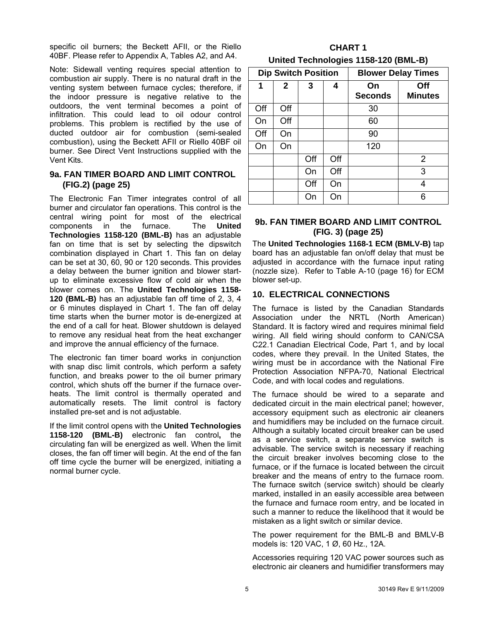specific oil burners; the Beckett AFII, or the Riello 40BF. Please refer to Appendix A, Tables A2, and A4.

Note: Sidewall venting requires special attention to combustion air supply. There is no natural draft in the venting system between furnace cycles; therefore, if the indoor pressure is negative relative to the outdoors, the vent terminal becomes a point of infiltration. This could lead to oil odour control problems. This problem is rectified by the use of ducted outdoor air for combustion (semi-sealed combustion), using the Beckett AFII or Riello 40BF oil burner. See Direct Vent Instructions supplied with the Vent Kits.

#### **9a. FAN TIMER BOARD AND LIMIT CONTROL (FIG.2) (page 25)**

The Electronic Fan Timer integrates control of all burner and circulator fan operations. This control is the central wiring point for most of the electrical components in the furnace. The **United Technologies 1158-120 (BML-B)** has an adjustable fan on time that is set by selecting the dipswitch combination displayed in Chart 1. This fan on delay can be set at 30, 60, 90 or 120 seconds. This provides a delay between the burner ignition and blower startup to eliminate excessive flow of cold air when the blower comes on. The **United Technologies 1158- 120 (BML-B)** has an adjustable fan off time of 2, 3, 4 or 6 minutes displayed in Chart 1. The fan off delay time starts when the burner motor is de-energized at the end of a call for heat. Blower shutdown is delayed to remove any residual heat from the heat exchanger and improve the annual efficiency of the furnace.

The electronic fan timer board works in conjunction with snap disc limit controls, which perform a safety function, and breaks power to the oil burner primary control, which shuts off the burner if the furnace overheats. The limit control is thermally operated and automatically resets. The limit control is factory installed pre-set and is not adjustable.

If the limit control opens with the **United Technologies 1158-120 (BML-B)** electronic fan control**,** the circulating fan will be energized as well. When the limit closes, the fan off timer will begin. At the end of the fan off time cycle the burner will be energized, initiating a normal burner cycle.

| <b>CHART 1</b>                       |  |
|--------------------------------------|--|
| United Technologies 1158-120 (BML-B) |  |

|     |                | <b>Dip Switch Position</b> |     | <b>Blower Delay Times</b> |                       |  |  |
|-----|----------------|----------------------------|-----|---------------------------|-----------------------|--|--|
| 1   | $\overline{2}$ | 3                          | 4   | On<br><b>Seconds</b>      | Off<br><b>Minutes</b> |  |  |
| Off | Off            |                            |     | 30                        |                       |  |  |
| On  | Off            |                            |     | 60                        |                       |  |  |
| Off | On             |                            |     | 90                        |                       |  |  |
| On  | On             |                            |     | 120                       |                       |  |  |
|     |                | Off                        | Off |                           | 2                     |  |  |
|     |                | On                         | Off |                           | 3                     |  |  |
|     |                | Off                        | On  |                           | 4                     |  |  |
|     |                | On                         | On  |                           | 6                     |  |  |

#### **9b. FAN TIMER BOARD AND LIMIT CONTROL (FIG. 3) (page 25)**

The **United Technologies 1168-1 ECM (BMLV-B)** tap board has an adjustable fan on/off delay that must be adjusted in accordance with the furnace input rating (nozzle size). Refer to Table A-10 (page 16) for ECM blower set-up.

#### **10. ELECTRICAL CONNECTIONS**

The furnace is listed by the Canadian Standards Association under the NRTL (North American) Standard. It is factory wired and requires minimal field wiring. All field wiring should conform to CAN/CSA C22.1 Canadian Electrical Code, Part 1, and by local codes, where they prevail. In the United States, the wiring must be in accordance with the National Fire Protection Association NFPA-70, National Electrical Code, and with local codes and regulations.

The furnace should be wired to a separate and dedicated circuit in the main electrical panel; however, accessory equipment such as electronic air cleaners and humidifiers may be included on the furnace circuit. Although a suitably located circuit breaker can be used as a service switch, a separate service switch is advisable. The service switch is necessary if reaching the circuit breaker involves becoming close to the furnace, or if the furnace is located between the circuit breaker and the means of entry to the furnace room. The furnace switch (service switch) should be clearly marked, installed in an easily accessible area between the furnace and furnace room entry, and be located in such a manner to reduce the likelihood that it would be mistaken as a light switch or similar device.

The power requirement for the BML-B and BMLV-B models is: 120 VAC, 1 Ø, 60 Hz., 12A.

Accessories requiring 120 VAC power sources such as electronic air cleaners and humidifier transformers may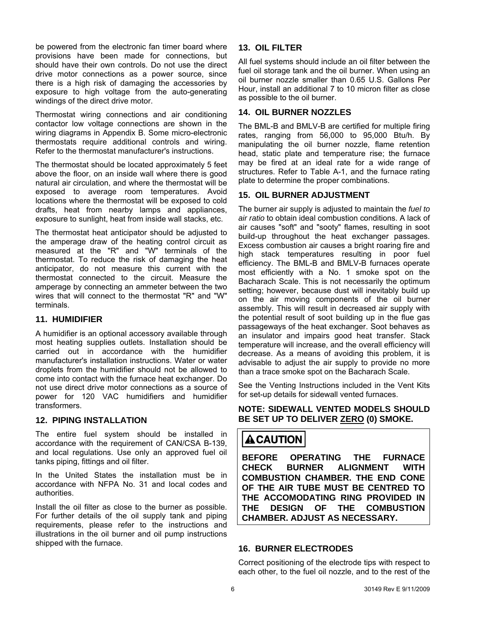be powered from the electronic fan timer board where provisions have been made for connections, but should have their own controls. Do not use the direct drive motor connections as a power source, since there is a high risk of damaging the accessories by exposure to high voltage from the auto-generating windings of the direct drive motor.

Thermostat wiring connections and air conditioning contactor low voltage connections are shown in the wiring diagrams in Appendix B. Some micro-electronic thermostats require additional controls and wiring. Refer to the thermostat manufacturer's instructions.

The thermostat should be located approximately 5 feet above the floor, on an inside wall where there is good natural air circulation, and where the thermostat will be exposed to average room temperatures. Avoid locations where the thermostat will be exposed to cold drafts, heat from nearby lamps and appliances, exposure to sunlight, heat from inside wall stacks, etc.

The thermostat heat anticipator should be adjusted to the amperage draw of the heating control circuit as measured at the "R" and "W" terminals of the thermostat. To reduce the risk of damaging the heat anticipator, do not measure this current with the thermostat connected to the circuit. Measure the amperage by connecting an ammeter between the two wires that will connect to the thermostat "R" and "W" terminals.

#### **11. HUMIDIFIER**

A humidifier is an optional accessory available through most heating supplies outlets. Installation should be carried out in accordance with the humidifier manufacturer's installation instructions. Water or water droplets from the humidifier should not be allowed to come into contact with the furnace heat exchanger. Do not use direct drive motor connections as a source of power for 120 VAC humidifiers and humidifier transformers.

#### **12. PIPING INSTALLATION**

The entire fuel system should be installed in accordance with the requirement of CAN/CSA B-139, and local regulations. Use only an approved fuel oil tanks piping, fittings and oil filter.

In the United States the installation must be in accordance with NFPA No. 31 and local codes and authorities.

Install the oil filter as close to the burner as possible. For further details of the oil supply tank and piping requirements, please refer to the instructions and illustrations in the oil burner and oil pump instructions shipped with the furnace.

## **13. OIL FILTER**

All fuel systems should include an oil filter between the fuel oil storage tank and the oil burner. When using an oil burner nozzle smaller than 0.65 U.S. Gallons Per Hour, install an additional 7 to 10 micron filter as close as possible to the oil burner.

#### **14. OIL BURNER NOZZLES**

The BML-B and BMLV-B are certified for multiple firing rates, ranging from 56,000 to 95,000 Btu/h. By manipulating the oil burner nozzle, flame retention head, static plate and temperature rise; the furnace may be fired at an ideal rate for a wide range of structures. Refer to Table A-1, and the furnace rating plate to determine the proper combinations.

#### **15. OIL BURNER ADJUSTMENT**

The burner air supply is adjusted to maintain the *fuel to air ratio* to obtain ideal combustion conditions. A lack of air causes "soft" and "sooty" flames, resulting in soot build-up throughout the heat exchanger passages. Excess combustion air causes a bright roaring fire and high stack temperatures resulting in poor fuel efficiency. The BML-B and BMLV-B furnaces operate most efficiently with a No. 1 smoke spot on the Bacharach Scale. This is not necessarily the optimum setting; however, because dust will inevitably build up on the air moving components of the oil burner assembly. This will result in decreased air supply with the potential result of soot building up in the flue gas passageways of the heat exchanger. Soot behaves as an insulator and impairs good heat transfer. Stack temperature will increase, and the overall efficiency will decrease. As a means of avoiding this problem, it is advisable to adjust the air supply to provide no more than a trace smoke spot on the Bacharach Scale.

See the Venting Instructions included in the Vent Kits for set-up details for sidewall vented furnaces.

#### **NOTE: SIDEWALL VENTED MODELS SHOULD BE SET UP TO DELIVER ZERO (0) SMOKE.**

# **ACAUTION**

**BEFORE OPERATING THE FURNACE CHECK BURNER ALIGNMENT WITH COMBUSTION CHAMBER. THE END CONE OF THE AIR TUBE MUST BE CENTRED TO THE ACCOMODATING RING PROVIDED IN THE DESIGN OF THE COMBUSTION CHAMBER. ADJUST AS NECESSARY.** 

#### **16. BURNER ELECTRODES**

Correct positioning of the electrode tips with respect to each other, to the fuel oil nozzle, and to the rest of the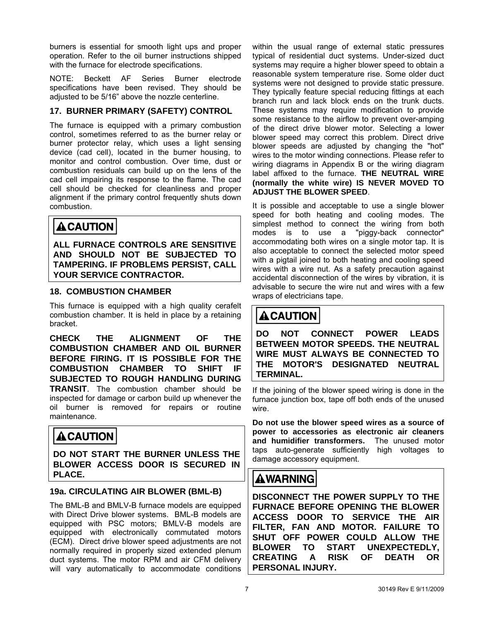burners is essential for smooth light ups and proper operation. Refer to the oil burner instructions shipped with the furnace for electrode specifications.

NOTE: Beckett AF Series Burner electrode specifications have been revised. They should be adjusted to be 5/16" above the nozzle centerline.

#### **17. BURNER PRIMARY (SAFETY) CONTROL**

The furnace is equipped with a primary combustion control, sometimes referred to as the burner relay or burner protector relay, which uses a light sensing device (cad cell), located in the burner housing, to monitor and control combustion. Over time, dust or combustion residuals can build up on the lens of the cad cell impairing its response to the flame. The cad cell should be checked for cleanliness and proper alignment if the primary control frequently shuts down combustion.

# **ACAUTION**

**ALL FURNACE CONTROLS ARE SENSITIVE AND SHOULD NOT BE SUBJECTED TO TAMPERING. IF PROBLEMS PERSIST, CALL YOUR SERVICE CONTRACTOR.** 

#### **18. COMBUSTION CHAMBER**

This furnace is equipped with a high quality cerafelt combustion chamber. It is held in place by a retaining bracket.

**CHECK THE ALIGNMENT OF THE COMBUSTION CHAMBER AND OIL BURNER BEFORE FIRING. IT IS POSSIBLE FOR THE COMBUSTION CHAMBER TO SHIFT IF SUBJECTED TO ROUGH HANDLING DURING TRANSIT**. The combustion chamber should be inspected for damage or carbon build up whenever the oil burner is removed for repairs or routine maintenance.

# **ACAUTION**

**DO NOT START THE BURNER UNLESS THE BLOWER ACCESS DOOR IS SECURED IN PLACE.** 

#### **19a. CIRCULATING AIR BLOWER (BML-B)**

The BML-B and BMLV-B furnace models are equipped with Direct Drive blower systems. BML-B models are equipped with PSC motors; BMLV-B models are equipped with electronically commutated motors (ECM). Direct drive blower speed adjustments are not normally required in properly sized extended plenum duct systems. The motor RPM and air CFM delivery will vary automatically to accommodate conditions

within the usual range of external static pressures typical of residential duct systems. Under-sized duct systems may require a higher blower speed to obtain a reasonable system temperature rise. Some older duct systems were not designed to provide static pressure. They typically feature special reducing fittings at each branch run and lack block ends on the trunk ducts. These systems may require modification to provide some resistance to the airflow to prevent over-amping of the direct drive blower motor. Selecting a lower blower speed may correct this problem. Direct drive blower speeds are adjusted by changing the "hot" wires to the motor winding connections. Please refer to wiring diagrams in Appendix B or the wiring diagram label affixed to the furnace. **THE NEUTRAL WIRE (normally the white wire) IS NEVER MOVED TO ADJUST THE BLOWER SPEED**.

It is possible and acceptable to use a single blower speed for both heating and cooling modes. The simplest method to connect the wiring from both modes is to use a "piggy-back connector" accommodating both wires on a single motor tap. It is also acceptable to connect the selected motor speed with a pigtail joined to both heating and cooling speed wires with a wire nut. As a safety precaution against accidental disconnection of the wires by vibration, it is advisable to secure the wire nut and wires with a few wraps of electricians tape.

# **A CAUTION**

**DO NOT CONNECT POWER LEADS BETWEEN MOTOR SPEEDS. THE NEUTRAL WIRE MUST ALWAYS BE CONNECTED TO THE MOTOR'S DESIGNATED NEUTRAL TERMINAL.** 

If the joining of the blower speed wiring is done in the furnace junction box, tape off both ends of the unused wire.

**Do not use the blower speed wires as a source of power to accessories as electronic air cleaners and humidifier transformers.** The unused motor taps auto-generate sufficiently high voltages to damage accessory equipment.

# **AWARNING**

**DISCONNECT THE POWER SUPPLY TO THE FURNACE BEFORE OPENING THE BLOWER ACCESS DOOR TO SERVICE THE AIR FILTER, FAN AND MOTOR. FAILURE TO SHUT OFF POWER COULD ALLOW THE BLOWER TO START UNEXPECTEDLY, CREATING A RISK OF DEATH OR PERSONAL INJURY.**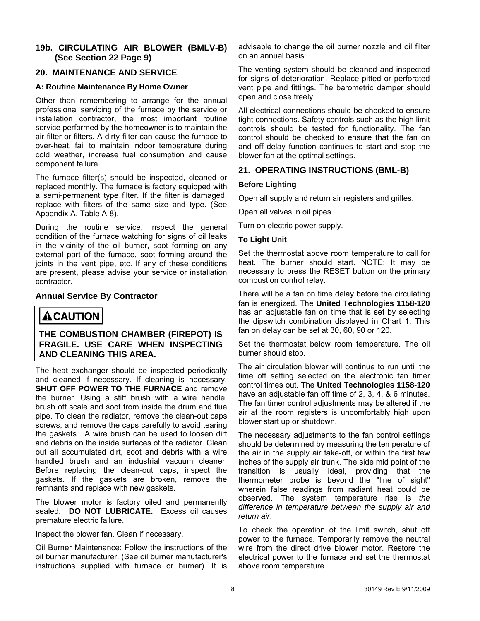#### **19b. CIRCULATING AIR BLOWER (BMLV-B) (See Section 22 Page 9)**

#### **20. MAINTENANCE AND SERVICE**

#### **A: Routine Maintenance By Home Owner**

Other than remembering to arrange for the annual professional servicing of the furnace by the service or installation contractor, the most important routine service performed by the homeowner is to maintain the air filter or filters. A dirty filter can cause the furnace to over-heat, fail to maintain indoor temperature during cold weather, increase fuel consumption and cause component failure.

The furnace filter(s) should be inspected, cleaned or replaced monthly. The furnace is factory equipped with a semi-permanent type filter. If the filter is damaged, replace with filters of the same size and type. (See Appendix A, Table A-8).

During the routine service, inspect the general condition of the furnace watching for signs of oil leaks in the vicinity of the oil burner, soot forming on any external part of the furnace, soot forming around the joints in the vent pipe, etc. If any of these conditions are present, please advise your service or installation contractor.

#### **Annual Service By Contractor**

# **ACAUTION**

**THE COMBUSTION CHAMBER (FIREPOT) IS FRAGILE. USE CARE WHEN INSPECTING AND CLEANING THIS AREA.** 

The heat exchanger should be inspected periodically and cleaned if necessary. If cleaning is necessary, **SHUT OFF POWER TO THE FURNACE** and remove the burner. Using a stiff brush with a wire handle, brush off scale and soot from inside the drum and flue pipe. To clean the radiator, remove the clean-out caps screws, and remove the caps carefully to avoid tearing the gaskets. A wire brush can be used to loosen dirt and debris on the inside surfaces of the radiator. Clean out all accumulated dirt, soot and debris with a wire handled brush and an industrial vacuum cleaner. Before replacing the clean-out caps, inspect the gaskets. If the gaskets are broken, remove the remnants and replace with new gaskets.

The blower motor is factory oiled and permanently sealed. **DO NOT LUBRICATE.** Excess oil causes premature electric failure.

Inspect the blower fan. Clean if necessary.

Oil Burner Maintenance: Follow the instructions of the oil burner manufacturer. (See oil burner manufacturer's instructions supplied with furnace or burner). It is advisable to change the oil burner nozzle and oil filter on an annual basis.

The venting system should be cleaned and inspected for signs of deterioration. Replace pitted or perforated vent pipe and fittings. The barometric damper should open and close freely.

All electrical connections should be checked to ensure tight connections. Safety controls such as the high limit controls should be tested for functionality. The fan control should be checked to ensure that the fan on and off delay function continues to start and stop the blower fan at the optimal settings.

#### **21. OPERATING INSTRUCTIONS (BML-B)**

#### **Before Lighting**

Open all supply and return air registers and grilles.

Open all valves in oil pipes.

Turn on electric power supply.

#### **To Light Unit**

Set the thermostat above room temperature to call for heat. The burner should start. NOTE: It may be necessary to press the RESET button on the primary combustion control relay.

There will be a fan on time delay before the circulating fan is energized. The **United Technologies 1158-120** has an adjustable fan on time that is set by selecting the dipswitch combination displayed in Chart 1. This fan on delay can be set at 30, 60, 90 or 120.

Set the thermostat below room temperature. The oil burner should stop.

The air circulation blower will continue to run until the time off setting selected on the electronic fan timer control times out. The **United Technologies 1158-120**  have an adjustable fan off time of 2, 3, 4, & 6 minutes. The fan timer control adjustments may be altered if the air at the room registers is uncomfortably high upon blower start up or shutdown.

The necessary adjustments to the fan control settings should be determined by measuring the temperature of the air in the supply air take-off, or within the first few inches of the supply air trunk. The side mid point of the transition is usually ideal, providing that the thermometer probe is beyond the "line of sight" wherein false readings from radiant heat could be observed. The system temperature rise is *the difference in temperature between the supply air and return air*.

To check the operation of the limit switch, shut off power to the furnace. Temporarily remove the neutral wire from the direct drive blower motor. Restore the electrical power to the furnace and set the thermostat above room temperature.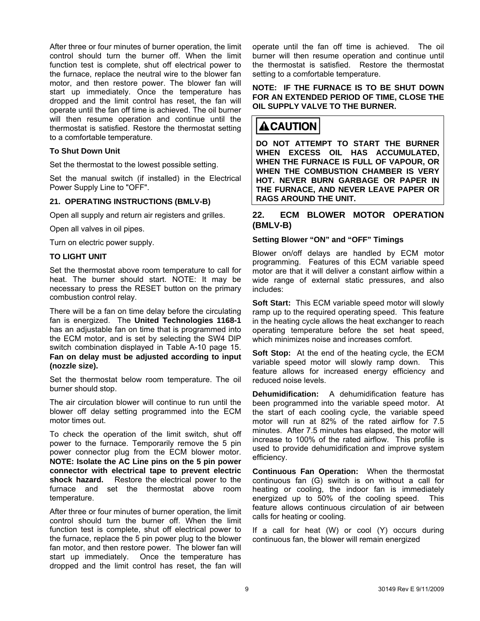After three or four minutes of burner operation, the limit control should turn the burner off. When the limit function test is complete, shut off electrical power to the furnace, replace the neutral wire to the blower fan motor, and then restore power. The blower fan will start up immediately. Once the temperature has dropped and the limit control has reset, the fan will operate until the fan off time is achieved. The oil burner will then resume operation and continue until the thermostat is satisfied. Restore the thermostat setting to a comfortable temperature.

#### **To Shut Down Unit**

Set the thermostat to the lowest possible setting.

Set the manual switch (if installed) in the Electrical Power Supply Line to "OFF".

#### **21. OPERATING INSTRUCTIONS (BMLV-B)**

Open all supply and return air registers and grilles.

Open all valves in oil pipes.

Turn on electric power supply.

#### **TO LIGHT UNIT**

Set the thermostat above room temperature to call for heat. The burner should start. NOTE: It may be necessary to press the RESET button on the primary combustion control relay.

There will be a fan on time delay before the circulating fan is energized. The **United Technologies 1168-1** has an adjustable fan on time that is programmed into the ECM motor, and is set by selecting the SW4 DIP switch combination displayed in Table A-10 page 15. **Fan on delay must be adjusted according to input (nozzle size).**

Set the thermostat below room temperature. The oil burner should stop.

The air circulation blower will continue to run until the blower off delay setting programmed into the ECM motor times out.

To check the operation of the limit switch, shut off power to the furnace. Temporarily remove the 5 pin power connector plug from the ECM blower motor. **NOTE: Isolate the AC Line pins on the 5 pin power connector with electrical tape to prevent electric shock hazard.** Restore the electrical power to the furnace and set the thermostat above room temperature.

After three or four minutes of burner operation, the limit control should turn the burner off. When the limit function test is complete, shut off electrical power to the furnace, replace the 5 pin power plug to the blower fan motor, and then restore power. The blower fan will start up immediately. Once the temperature has dropped and the limit control has reset, the fan will

operate until the fan off time is achieved. The oil burner will then resume operation and continue until the thermostat is satisfied. Restore the thermostat setting to a comfortable temperature.

#### **NOTE: IF THE FURNACE IS TO BE SHUT DOWN FOR AN EXTENDED PERIOD OF TIME, CLOSE THE OIL SUPPLY VALVE TO THE BURNER.**

# $\triangle$  CAUTION

**DO NOT ATTEMPT TO START THE BURNER WHEN EXCESS OIL HAS ACCUMULATED, WHEN THE FURNACE IS FULL OF VAPOUR, OR WHEN THE COMBUSTION CHAMBER IS VERY HOT. NEVER BURN GARBAGE OR PAPER IN THE FURNACE, AND NEVER LEAVE PAPER OR RAGS AROUND THE UNIT.** 

#### **22. ECM BLOWER MOTOR OPERATION (BMLV-B)**

#### **Setting Blower "ON" and "OFF" Timings**

Blower on/off delays are handled by ECM motor programming. Features of this ECM variable speed motor are that it will deliver a constant airflow within a wide range of external static pressures, and also includes:

**Soft Start:** This ECM variable speed motor will slowly ramp up to the required operating speed. This feature in the heating cycle allows the heat exchanger to reach operating temperature before the set heat speed, which minimizes noise and increases comfort.

**Soft Stop:** At the end of the heating cycle, the ECM variable speed motor will slowly ramp down. This feature allows for increased energy efficiency and reduced noise levels.

**Dehumidification:** A dehumidification feature has been programmed into the variable speed motor. At the start of each cooling cycle, the variable speed motor will run at 82% of the rated airflow for 7.5 minutes. After 7.5 minutes has elapsed, the motor will increase to 100% of the rated airflow. This profile is used to provide dehumidification and improve system efficiency.

**Continuous Fan Operation:** When the thermostat continuous fan (G) switch is on without a call for heating or cooling, the indoor fan is immediately energized up to 50% of the cooling speed. This feature allows continuous circulation of air between calls for heating or cooling.

If a call for heat (W) or cool (Y) occurs during continuous fan, the blower will remain energized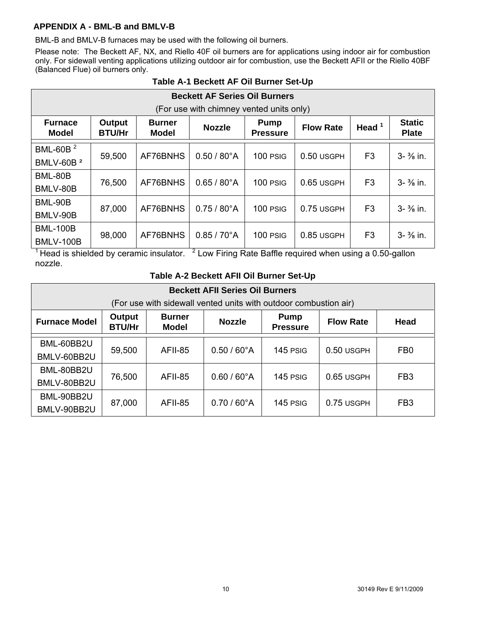#### **APPENDIX A - BML-B and BMLV-B**

BML-B and BMLV-B furnaces may be used with the following oil burners.

Please note: The Beckett AF, NX, and Riello 40F oil burners are for applications using indoor air for combustion only. For sidewall venting applications utilizing outdoor air for combustion, use the Beckett AFII or the Riello 40BF (Balanced Flue) oil burners only.

|                                          | <b>Beckett AF Series Oil Burners</b> |                                                                                                                  |                          |            |              |                |                       |  |  |  |  |  |
|------------------------------------------|--------------------------------------|------------------------------------------------------------------------------------------------------------------|--------------------------|------------|--------------|----------------|-----------------------|--|--|--|--|--|
| (For use with chimney vented units only) |                                      |                                                                                                                  |                          |            |              |                |                       |  |  |  |  |  |
| <b>Furnace</b><br>Model                  | Output<br><b>BTU/Hr</b>              | <b>Burner</b><br><b>Pump</b><br>Head $1$<br><b>Flow Rate</b><br><b>Nozzle</b><br><b>Model</b><br><b>Pressure</b> |                          |            |              |                |                       |  |  |  |  |  |
| BML-60B <sup>2</sup>                     | 59,500                               | AF76BNHS                                                                                                         | $0.50 / 80^{\circ}$ A    | 100 PSIG   | $0.50$ USGPH | F <sub>3</sub> | $3 - \frac{3}{8}$ in. |  |  |  |  |  |
| BMLV-60B <sup>2</sup>                    |                                      |                                                                                                                  |                          |            |              |                |                       |  |  |  |  |  |
| BML-80B                                  | 76,500                               | AF76BNHS                                                                                                         | $0.65 / 80^{\circ}$ A    | 100 PSIG   | 0.65 USGPH   | F <sub>3</sub> | $3 - \frac{3}{8}$ in. |  |  |  |  |  |
| BMLV-80B                                 |                                      |                                                                                                                  |                          |            |              |                |                       |  |  |  |  |  |
| BML-90B                                  | 87,000                               | AF76BNHS                                                                                                         | $0.75/80^{\circ}$ A      | 100 PSIG   | 0.75 USGPH   | F <sub>3</sub> | $3 - \frac{3}{8}$ in. |  |  |  |  |  |
| BMLV-90B                                 |                                      |                                                                                                                  |                          |            |              |                |                       |  |  |  |  |  |
| <b>BML-100B</b>                          | 98,000                               | AF76BNHS                                                                                                         | $0.85 / 70^{\circ}$ A    | $100$ PSIG | 0.85 USGPH   | F <sub>3</sub> | $3 - \frac{3}{8}$ in. |  |  |  |  |  |
| <b>BMLV-100B</b><br>$\overline{1}$       |                                      |                                                                                                                  | $\overline{\phantom{a}}$ |            |              |                |                       |  |  |  |  |  |

#### **Table A-1 Beckett AF Oil Burner Set-Up**

<sup>1</sup> Head is shielded by ceramic insulator.  $\frac{2}{3}$  Low Firing Rate Baffle required when using a 0.50-gallon nozzle.

#### **Table A-2 Beckett AFII Oil Burner Set-Up**

| <b>Beckett AFII Series Oil Burners</b><br>(For use with sidewall vented units with outdoor combustion air)                                                      |        |                |                       |          |            |                 |  |  |  |  |
|-----------------------------------------------------------------------------------------------------------------------------------------------------------------|--------|----------------|-----------------------|----------|------------|-----------------|--|--|--|--|
| Output<br><b>Burner</b><br><b>Pump</b><br><b>Furnace Model</b><br><b>Nozzle</b><br><b>Flow Rate</b><br>Head<br><b>BTU/Hr</b><br><b>Model</b><br><b>Pressure</b> |        |                |                       |          |            |                 |  |  |  |  |
| BML-60BB2U<br>BMLV-60BB2U                                                                                                                                       | 59,500 | <b>AFII-85</b> | $0.50 / 60^{\circ}$ A | 145 PSIG | 0.50 USGPH | FB <sub>0</sub> |  |  |  |  |
| BML-80BB2U<br>BMLV-80BB2U                                                                                                                                       | 76,500 | <b>AFII-85</b> | $0.60 / 60^{\circ}$ A | 145 PSIG | 0.65 USGPH | FB <sub>3</sub> |  |  |  |  |
| BML-90BB2U<br>BMLV-90BB2U                                                                                                                                       | 87,000 | <b>AFII-85</b> | $0.70 / 60^{\circ}$ A | 145 PSIG | 0.75 USGPH | FB <sub>3</sub> |  |  |  |  |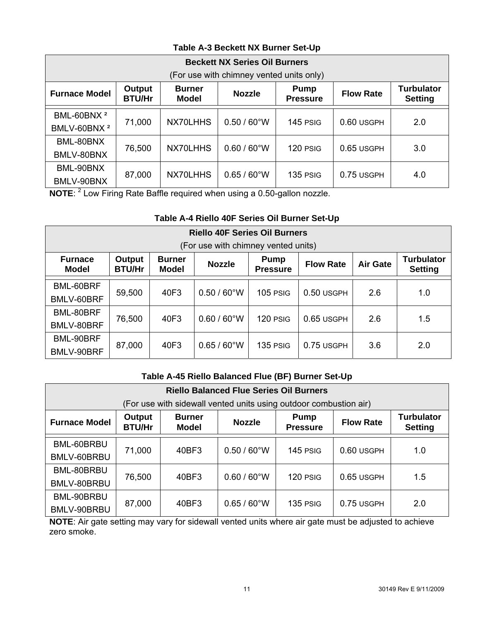## **Table A-3 Beckett NX Burner Set-Up**

|                                                   | <b>Beckett NX Series Oil Burners</b>                                                                                                                 |          |                       |          |            |     |  |  |  |  |  |  |
|---------------------------------------------------|------------------------------------------------------------------------------------------------------------------------------------------------------|----------|-----------------------|----------|------------|-----|--|--|--|--|--|--|
| (For use with chimney vented units only)          |                                                                                                                                                      |          |                       |          |            |     |  |  |  |  |  |  |
| <b>Furnace Model</b>                              | <b>Turbulator</b><br>Output<br><b>Burner</b><br><b>Pump</b><br><b>Nozzle</b><br><b>Flow Rate</b><br><b>BTU/Hr</b><br><b>Model</b><br><b>Pressure</b> |          |                       |          |            |     |  |  |  |  |  |  |
| BML-60BNX <sup>2</sup><br>BMLV-60BNX <sup>2</sup> | 71,000                                                                                                                                               | NX70LHHS | $0.50 / 60^{\circ}$ W | 145 PSIG | 0.60 USGPH | 2.0 |  |  |  |  |  |  |
| BML-80BNX<br>BMLV-80BNX                           | 76,500                                                                                                                                               | NX70LHHS | $0.60 / 60^{\circ}$ W | 120 PSIG | 0.65 USGPH | 3.0 |  |  |  |  |  |  |
| BML-90BNX<br>BMLV-90BNX                           | 87,000                                                                                                                                               | NX70LHHS | $0.65 / 60^{\circ}$ W | 135 PSIG | 0.75 USGPH | 4.0 |  |  |  |  |  |  |

**NOTE:** <sup>2</sup> Low Firing Rate Baffle required when using a 0.50-gallon nozzle.

## **Table A-4 Riello 40F Series Oil Burner Set-Up**

|                                | <b>Riello 40F Series Oil Burners</b>                                                                                                                                                      |      |                       |          |            |     |     |  |  |  |  |  |
|--------------------------------|-------------------------------------------------------------------------------------------------------------------------------------------------------------------------------------------|------|-----------------------|----------|------------|-----|-----|--|--|--|--|--|
|                                | (For use with chimney vented units)                                                                                                                                                       |      |                       |          |            |     |     |  |  |  |  |  |
| <b>Furnace</b><br><b>Model</b> | <b>Turbulator</b><br>Output<br><b>Burner</b><br><b>Pump</b><br><b>Air Gate</b><br><b>Nozzle</b><br><b>Flow Rate</b><br><b>Setting</b><br><b>BTU/Hr</b><br><b>Model</b><br><b>Pressure</b> |      |                       |          |            |     |     |  |  |  |  |  |
| BML-60BRF<br>BMLV-60BRF        | 59,500                                                                                                                                                                                    | 40F3 | $0.50 / 60^{\circ}$ W | 105 PSIG | 0.50 USGPH | 2.6 | 1.0 |  |  |  |  |  |
| BML-80BRF<br>BMLV-80BRF        | 76,500                                                                                                                                                                                    | 40F3 | $0.60 / 60^{\circ}$ W | 120 PSIG | 0.65 USGPH | 2.6 | 1.5 |  |  |  |  |  |
| BML-90BRF<br>BMLV-90BRF        | 87,000                                                                                                                                                                                    | 40F3 | $0.65 / 60^{\circ}$ W | 135 PSIG | 0.75 USGPH | 3.6 | 2.0 |  |  |  |  |  |

## **Table A-45 Riello Balanced Flue (BF) Burner Set-Up**

|                                                                   | <b>Riello Balanced Flue Series Oil Burners</b> |                               |                                                 |          |                  |                                     |  |  |  |  |  |  |
|-------------------------------------------------------------------|------------------------------------------------|-------------------------------|-------------------------------------------------|----------|------------------|-------------------------------------|--|--|--|--|--|--|
| (For use with sidewall vented units using outdoor combustion air) |                                                |                               |                                                 |          |                  |                                     |  |  |  |  |  |  |
| <b>Furnace Model</b>                                              | Output<br><b>BTU/Hr</b>                        | <b>Burner</b><br><b>Model</b> | <b>Pump</b><br><b>Nozzle</b><br><b>Pressure</b> |          | <b>Flow Rate</b> | <b>Turbulator</b><br><b>Setting</b> |  |  |  |  |  |  |
| BML-60BRBU<br>BMLV-60BRBU                                         | 71,000                                         | 40BF3                         | $0.50 / 60^{\circ}$ W                           | 145 PSIG | 0.60 USGPH       | 1.0                                 |  |  |  |  |  |  |
| BML-80BRBU<br>BMLV-80BRBU                                         | 76,500                                         | 40BF3                         | $0.60 / 60^{\circ}$ W                           | 120 PSIG | 0.65 USGPH       | 1.5                                 |  |  |  |  |  |  |
| BML-90BRBU<br>BMLV-90BRBU                                         | 87,000                                         | 40BF3                         | $0.65 / 60^{\circ}$ W                           | 135 PSIG | 0.75 USGPH       | 2.0                                 |  |  |  |  |  |  |

**NOTE**: Air gate setting may vary for sidewall vented units where air gate must be adjusted to achieve zero smoke.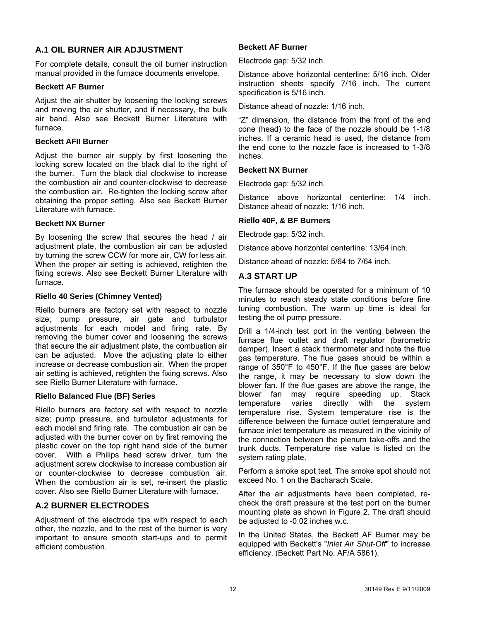#### **A.1 OIL BURNER AIR ADJUSTMENT**

For complete details, consult the oil burner instruction manual provided in the furnace documents envelope.

#### **Beckett AF Burner**

Adjust the air shutter by loosening the locking screws and moving the air shutter, and if necessary, the bulk air band. Also see Beckett Burner Literature with furnace.

#### **Beckett AFII Burner**

Adjust the burner air supply by first loosening the locking screw located on the black dial to the right of the burner. Turn the black dial clockwise to increase the combustion air and counter-clockwise to decrease the combustion air. Re-tighten the locking screw after obtaining the proper setting. Also see Beckett Burner Literature with furnace.

#### **Beckett NX Burner**

By loosening the screw that secures the head / air adjustment plate, the combustion air can be adjusted by turning the screw CCW for more air, CW for less air. When the proper air setting is achieved, retighten the fixing screws. Also see Beckett Burner Literature with furnace.

#### **Riello 40 Series (Chimney Vented)**

Riello burners are factory set with respect to nozzle size; pump pressure, air gate and turbulator adjustments for each model and firing rate. By removing the burner cover and loosening the screws that secure the air adjustment plate, the combustion air can be adjusted. Move the adjusting plate to either increase or decrease combustion air. When the proper air setting is achieved, retighten the fixing screws. Also see Riello Burner Literature with furnace.

#### **Riello Balanced Flue (BF) Series**

Riello burners are factory set with respect to nozzle size; pump pressure, and turbulator adjustments for each model and firing rate. The combustion air can be adjusted with the burner cover on by first removing the plastic cover on the top right hand side of the burner cover. With a Philips head screw driver, turn the adjustment screw clockwise to increase combustion air or counter-clockwise to decrease combustion air. When the combustion air is set, re-insert the plastic cover. Also see Riello Burner Literature with furnace.

#### **A.2 BURNER ELECTRODES**

Adjustment of the electrode tips with respect to each other, the nozzle, and to the rest of the burner is very important to ensure smooth start-ups and to permit efficient combustion.

#### **Beckett AF Burner**

Electrode gap: 5/32 inch.

Distance above horizontal centerline: 5/16 inch. Older instruction sheets specify 7/16 inch. The current specification is 5/16 inch.

Distance ahead of nozzle: 1/16 inch.

"Z" dimension, the distance from the front of the end cone (head) to the face of the nozzle should be 1-1/8 inches. If a ceramic head is used, the distance from the end cone to the nozzle face is increased to 1-3/8 inches.

#### **Beckett NX Burner**

Electrode gap: 5/32 inch.

Distance above horizontal centerline: 1/4 inch. Distance ahead of nozzle: 1/16 inch.

#### **Riello 40F, & BF Burners**

Electrode gap: 5/32 inch.

Distance above horizontal centerline: 13/64 inch.

Distance ahead of nozzle: 5/64 to 7/64 inch.

#### **A.3 START UP**

The furnace should be operated for a minimum of 10 minutes to reach steady state conditions before fine tuning combustion. The warm up time is ideal for testing the oil pump pressure.

Drill a 1/4-inch test port in the venting between the furnace flue outlet and draft regulator (barometric damper). Insert a stack thermometer and note the flue gas temperature. The flue gases should be within a range of 350°F to 450°F. If the flue gases are below the range, it may be necessary to slow down the blower fan. If the flue gases are above the range, the blower fan may require speeding up. Stack temperature varies directly with the system temperature rise. System temperature rise is the difference between the furnace outlet temperature and furnace inlet temperature as measured in the vicinity of the connection between the plenum take-offs and the trunk ducts. Temperature rise value is listed on the system rating plate.

Perform a smoke spot test. The smoke spot should not exceed No. 1 on the Bacharach Scale.

After the air adjustments have been completed, recheck the draft pressure at the test port on the burner mounting plate as shown in Figure 2. The draft should be adjusted to -0.02 inches w.c.

In the United States, the Beckett AF Burner may be equipped with Beckett's "*Inlet Air Shut-Off*" to increase efficiency. (Beckett Part No. AF/A 5861).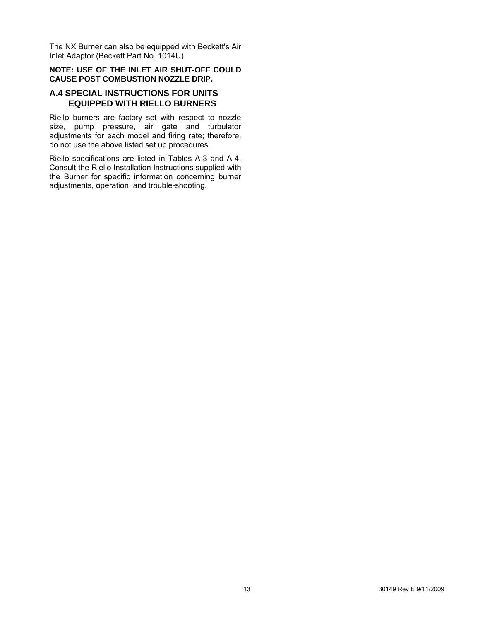The NX Burner can also be equipped with Beckett's Air Inlet Adaptor (Beckett Part No. 1014U).

#### **NOTE: USE OF THE INLET AIR SHUT-OFF COULD CAUSE POST COMBUSTION NOZZLE DRIP.**

#### **A.4 SPECIAL INSTRUCTIONS FOR UNITS EQUIPPED WITH RIELLO BURNERS**

Riello burners are factory set with respect to nozzle size, pump pressure, air gate and turbulator adjustments for each model and firing rate; therefore, do not use the above listed set up procedures.

Riello specifications are listed in Tables A-3 and A-4. Consult the Riello Installation Instructions supplied with the Burner for specific information concerning burner adjustments, operation, and trouble-shooting.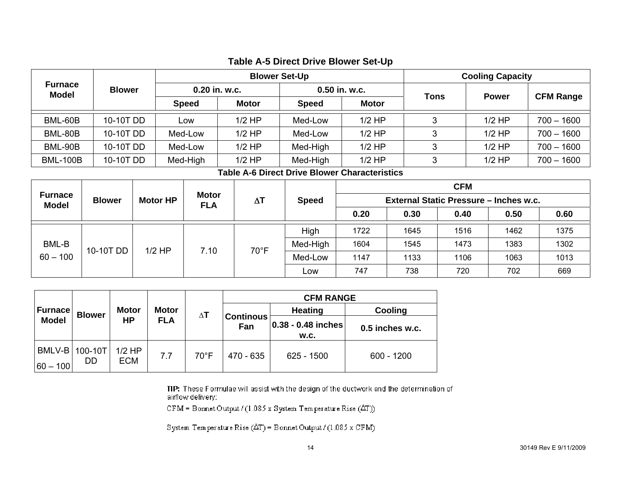|                         |               |                                 |                               |            | <b>Blower Set-Up</b>                                 |              | <b>Cooling Capacity</b> |                                        |            |              |                  |
|-------------------------|---------------|---------------------------------|-------------------------------|------------|------------------------------------------------------|--------------|-------------------------|----------------------------------------|------------|--------------|------------------|
| <b>Furnace</b><br>Model | <b>Blower</b> |                                 | 0.20 in. w.c.<br><b>Speed</b> |            |                                                      |              | 0.50 in. w.c.           | <b>Tons</b>                            |            |              |                  |
|                         |               |                                 |                               |            | <b>Motor</b>                                         | <b>Speed</b> | Motor                   |                                        |            | <b>Power</b> | <b>CFM Range</b> |
| BML-60B                 | 10-10T DD     |                                 |                               | Low        | $1/2$ HP                                             | Med-Low      | $1/2$ HP                | 3                                      |            | $1/2$ HP     | $700 - 1600$     |
| BML-80B                 | 10-10T DD     |                                 |                               | Med-Low    | $1/2$ HP                                             | Med-Low      | $1/2$ HP                | 3                                      |            | $1/2$ HP     | 700 - 1600       |
| BML-90B                 | 10-10T DD     |                                 |                               | Med-Low    | $1/2$ HP                                             | Med-High     | $1/2$ HP                | 3                                      |            | $1/2$ HP     | 700 - 1600       |
| <b>BML-100B</b>         | 10-10T DD     |                                 |                               | Med-High   | $1/2$ HP                                             | Med-High     | $1/2$ HP                | 3                                      |            | $1/2$ HP     | $700 - 1600$     |
|                         |               |                                 |                               |            | <b>Table A-6 Direct Drive Blower Characteristics</b> |              |                         |                                        |            |              |                  |
|                         |               | <b>Motor</b><br><b>Motor HP</b> |                               |            |                                                      |              |                         |                                        | <b>CFM</b> |              |                  |
| <b>Furnace</b><br>Model | <b>Blower</b> |                                 |                               | <b>FLA</b> | $\Delta T$                                           | <b>Speed</b> |                         | External Static Pressure - Inches w.c. |            |              |                  |
|                         |               |                                 |                               |            |                                                      |              | 0.20                    | 0.30                                   | 0.40       | 0.50         | 0.60             |
|                         |               |                                 |                               |            |                                                      | High         | 1722                    | 1645                                   | 1516       | 1462         | 1375             |
| BML-B                   |               |                                 |                               | 7.10       | $70^{\circ}$ F                                       | Med-High     | 1604                    | 1545                                   | 1473       | 1383         | 1302             |
| $60 - 100$              | 10-10T DD     | $1/2$ HP                        |                               |            |                                                      | Med-Low      | 1147                    | 1133                                   | 1106       | 1063         | 1013             |
|                         |               |                                 |                               |            |                                                      | Low          | 747                     | 738                                    | 720        | 702          | 669              |

## **Table A-5 Direct Drive Blower Set-Up**

|                |                        |                        |              |                |                         | <b>CFM RANGE</b>           |                 |
|----------------|------------------------|------------------------|--------------|----------------|-------------------------|----------------------------|-----------------|
| <b>Furnace</b> | <b>Blower</b>          | <b>Motor</b>           | <b>Motor</b> | $\Delta$ T     |                         | <b>Heating</b>             | Cooling         |
| <b>Model</b>   |                        | HР                     | <b>FLA</b>   |                | <b>Continous</b><br>Fan | 0.38 - 0.48 inches<br>W.C. | 0.5 inches w.c. |
| $ 60 - 100 $   | BMLV-B   100-10T<br>DD | $1/2$ HP<br><b>ECM</b> | 7.7          | $70^{\circ}$ F | $470 - 635$             | 625 - 1500                 | $600 - 1200$    |

TIP: These Formulae will assist with the design of the ductwork and the determination of airflow delivery:

 $CFM = B$ ornet Output / (1.085 x System Temperature Rise ( $\Delta T$ ))

System Temperature Rise  $(\Delta T)$  = Bonnet Output / (1.085 x CFM)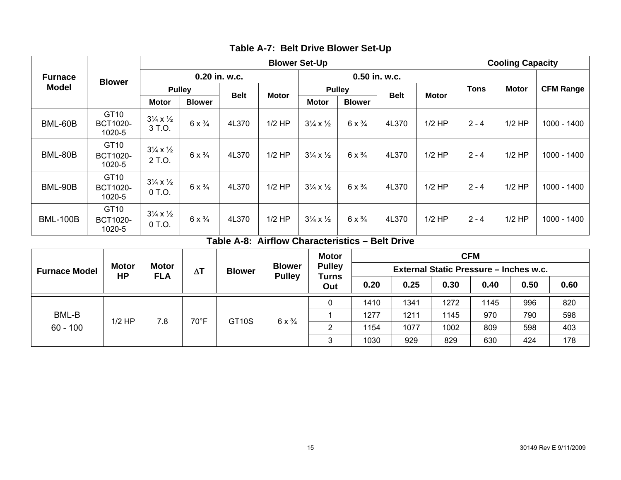|                 |                                               | <b>Blower Set-Up</b>                        |                        |             |              |                                      |                        |             |              |             | <b>Cooling Capacity</b> |                  |  |
|-----------------|-----------------------------------------------|---------------------------------------------|------------------------|-------------|--------------|--------------------------------------|------------------------|-------------|--------------|-------------|-------------------------|------------------|--|
| <b>Furnace</b>  | <b>Blower</b>                                 |                                             | 0.20 in. w.c.          |             |              |                                      | 0.50 in. w.c.          |             |              |             |                         |                  |  |
| Model           |                                               | <b>Pulley</b>                               |                        |             | <b>Motor</b> |                                      | <b>Pulley</b>          | <b>Belt</b> | <b>Motor</b> | <b>Tons</b> | <b>Motor</b>            | <b>CFM Range</b> |  |
|                 |                                               | <b>Motor</b>                                | <b>Blower</b>          | <b>Belt</b> |              | <b>Motor</b>                         | <b>Blower</b>          |             |              |             |                         |                  |  |
| BML-60B         | GT10<br><b>BCT1020-</b><br>1020-5             | $3\frac{1}{4} \times \frac{1}{2}$<br>3 T.O. | 6 $\times \frac{3}{4}$ | 4L370       | $1/2$ HP     | $3\frac{1}{4} \times \frac{1}{2}$    | $6 \times \frac{3}{4}$ | 4L370       | $1/2$ HP     | $2 - 4$     | $1/2$ HP                | 1000 - 1400      |  |
| BML-80B         | GT <sub>10</sub><br><b>BCT1020-</b><br>1020-5 | $3\frac{1}{4} \times \frac{1}{2}$<br>2 T.O. | 6 $\times \frac{3}{4}$ | 4L370       | $1/2$ HP     | $3\frac{1}{4} \times \frac{1}{2}$    | $6 \times \frac{3}{4}$ | 4L370       | $1/2$ HP     | $2 - 4$     | $1/2$ HP                | 1000 - 1400      |  |
| BML-90B         | GT10<br><b>BCT1020-</b><br>1020-5             | $3\frac{1}{4} \times \frac{1}{2}$<br>0 T.O. | $6 \times \frac{3}{4}$ | 4L370       | $1/2$ HP     | $3\frac{1}{4} \times \frac{1}{2}$    | $6 \times \frac{3}{4}$ | 4L370       | $1/2$ HP     | $2 - 4$     | $1/2$ HP                | 1000 - 1400      |  |
| <b>BML-100B</b> | GT10<br><b>BCT1020-</b><br>1020-5             | $3\frac{1}{4} \times \frac{1}{2}$<br>0 T.O. | 6 $\times \frac{3}{4}$ | 4L370       | $1/2$ HP     | $3\frac{1}{4} \times \frac{1}{2}$    | $6 \times \frac{3}{4}$ | 4L370       | $1/2$ HP     | $2 - 4$     | $1/2$ HP                | 1000 - 1400      |  |
|                 |                                               |                                             |                        | Table A-8:  |              | Airflow Characteristics - Belt Drive |                        |             |              |             |                         |                  |  |

| Table A-7: Belt Drive Blower Set-Up |
|-------------------------------------|
|-------------------------------------|

**CFM Furnace Model** Motor Motor AT Blower Blower Pulley External Static Pressure – Inches w.c. Pulley Turns **External Static Pressure – Inches w.c.** Pulley Turns **Pulley Pulley Pulley Pulley Pulley Pulley Pulley Motor Pulley Turns Out 0.20 0.25 0.30 0.40 0.50 0.60**  0 | 1410 | 1341 | 1272 | 1145 | 996 | 820 820 1 1277 1211 1145 970 790 598 598 2 | 1154 | 1077 | 1002 | 809 | 598 | 403 403 BML-B 60 - 100 1/2 HP 7.8 70°F GT10S 6 x ¾  $6 \times \frac{3}{4}$ 3 | 1030 | 929 | 829 | 630 | 424 | 178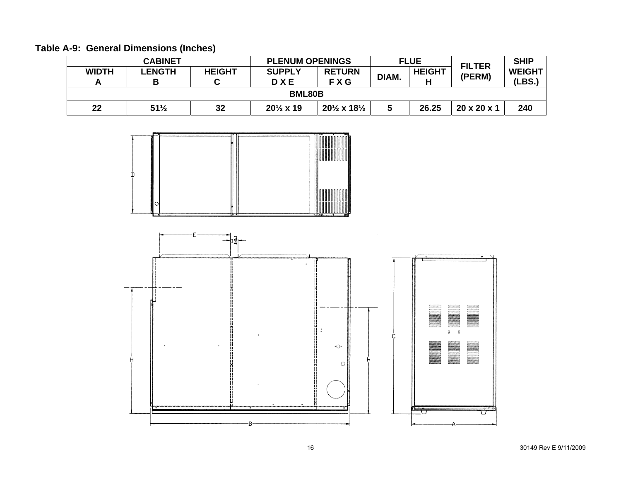|  | Table A-9: General Dimensions (Inches) |  |
|--|----------------------------------------|--|
|--|----------------------------------------|--|

|              | <b>CABINET</b><br><b>PLENUM OPENINGS</b> |               |                             | <b>FLUE</b>                        |       |                    | <b>FILTER</b> | <b>SHIP</b>             |  |
|--------------|------------------------------------------|---------------|-----------------------------|------------------------------------|-------|--------------------|---------------|-------------------------|--|
| <b>WIDTH</b> | <b>LENGTH</b><br>В                       | <b>HEIGHT</b> | <b>SUPPLY</b><br><b>DXE</b> | <b>RETURN</b><br>FXG               | DIAM. | <b>HEIGHT</b><br>н | (PERM)        | <b>WEIGHT</b><br>(LBS., |  |
|              | <b>BML80B</b>                            |               |                             |                                    |       |                    |               |                         |  |
| 22           | $51\frac{1}{2}$                          | 32            | $20\frac{1}{2}$ x 19        | $20\frac{1}{2}$ x 18 $\frac{1}{2}$ |       | 26.25              | 20 x 20 x 1   | 240                     |  |



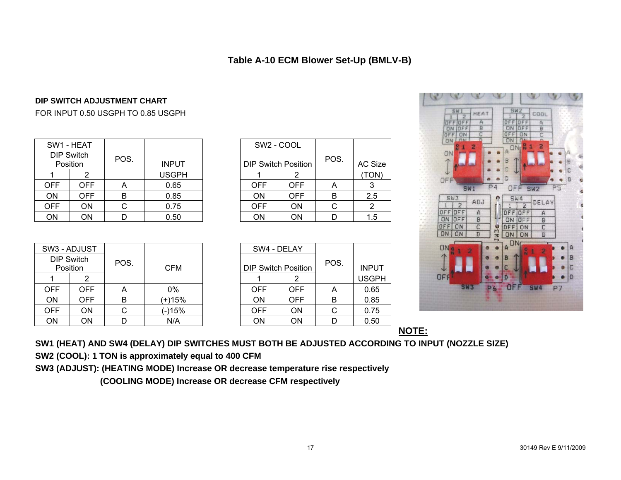## **Table A-10 ECM Blower Set-Up (BMLV-B)**

#### **DIP SWITCH ADJUSTMENT CHART**

#### FOR INPUT 0.50 USGPH TO 0.85 USGPH

|            | SW1 - HEAT                    |      |              |            | SW <sub>2</sub> - COOL     |      |               |
|------------|-------------------------------|------|--------------|------------|----------------------------|------|---------------|
|            | <b>DIP Switch</b><br>Position | POS. | <b>INPUT</b> |            | <b>DIP Switch Position</b> | POS. | <b>AC Siz</b> |
|            |                               |      | <b>USGPH</b> |            |                            |      | <b>TON</b>    |
| OFF        | OFF                           | A    | 0.65         | <b>OFF</b> | <b>OFF</b>                 | A    | ົ             |
| ON         | OFF                           | B    | 0.85         | <b>ON</b>  | <b>OFF</b>                 | B    | 2.5           |
| <b>OFF</b> | ΟN                            |      | 0.75         | <b>OFF</b> | <b>ON</b>                  |      |               |
| ON         | ΟN                            |      | 0.50         | ON         | ON                         |      | 1.5           |

| V1 - HEAT             |      |              |            | SW2 - COOL                 |      |         |
|-----------------------|------|--------------|------------|----------------------------|------|---------|
| IP Switch<br>Position | POS. | <b>INPUT</b> |            | <b>DIP Switch Position</b> | POS. | AC Size |
|                       |      | <b>USGPH</b> |            |                            |      | (TON)   |
| <b>OFF</b>            | Α    | 0.65         | <b>OFF</b> | <b>OFF</b>                 | Α    |         |
| <b>OFF</b>            | в    | 0.85         | ON         | <b>OFF</b>                 | B    | 2.5     |
| ON                    |      | 0.75         | <b>OFF</b> | <b>ON</b>                  | С    |         |
| ON                    |      | 0.50         | ON         | ON                         |      | 1.5     |

| <b>SWI</b><br>HEAT<br>OFF<br>$\overline{A}$<br><b>DFF</b><br>$\frac{B}{C}$<br>OFF<br>ON<br>OFF<br>ON<br>n<br>n <sub>M</sub><br>ON |      | SW2<br>OFF<br>OFF<br>OFF<br><b>ON</b><br>OFF<br><b>ON</b><br><b>CALL</b><br>ON | COOL<br>Ä<br>$\frac{1}{2}$             |                     |  |
|-----------------------------------------------------------------------------------------------------------------------------------|------|--------------------------------------------------------------------------------|----------------------------------------|---------------------|--|
| $\frac{0}{N}$<br>1<br>2<br>ON                                                                                                     |      | R<br>A DN<br>B<br>C                                                            | 2<br>$\mathbf{1}$                      | Đ<br>С              |  |
| OFF<br><b>SW1</b><br><b>SW3</b>                                                                                                   | P4   | D<br>OFF<br>SW4                                                                | SW <sub>2</sub>                        | D<br>P <sub>5</sub> |  |
| ADJ<br>$\overline{2}$<br>OFF OFF<br>$\overline{A}$<br>OFF<br>ON<br>B<br>$\overline{c}$<br>OFF<br>ON<br>ON<br>ON<br>D              | JWJe | $\overline{2}$<br>F<br>OFF<br>OFF<br>ON<br>OFF<br>ON<br>ON<br><b>ON</b>        | DELAY<br>A<br>B<br>$\overline{c}$<br>D |                     |  |
| ON<br>$\frac{1}{N}$<br>1<br>2                                                                                                     |      | ON<br>$\mathsf{A}$<br>B                                                        | $\frac{6}{16}$<br>2<br>1               | А<br>B              |  |
| OFF                                                                                                                               |      | C<br>D                                                                         |                                        | C<br>D              |  |
| <b>SW3</b>                                                                                                                        | 6    | OF                                                                             | SW4                                    | P <sub>7</sub>      |  |

 $\mathbb{R} \times \mathbb{R} \times \mathbb{R}$ 

|            | SW3 - ADJUST                  |      |            |            | SW4 - DELAY                |      |              |
|------------|-------------------------------|------|------------|------------|----------------------------|------|--------------|
|            | <b>DIP Switch</b><br>Position | POS. | <b>CFM</b> |            | <b>DIP Switch Position</b> | POS. | <b>INPUT</b> |
|            |                               |      |            |            |                            |      | <b>USGPI</b> |
| <b>OFF</b> | OFF.                          | A    | $0\%$      | <b>OFF</b> | <b>OFF</b>                 | A    | 0.65         |
| ON         | OFF.                          | в    | (+)15%     | ON         | <b>OFF</b>                 | в    | 0.85         |
| <b>OFF</b> | ON                            |      | (-)15%     | <b>OFF</b> | <b>ON</b>                  |      | 0.75         |
| ON         | ON                            |      | N/A        | ON         | ON                         |      | 0.50         |

| 3 - ADJUST            |      |            |            | SW4 - DELAY                |      |              |
|-----------------------|------|------------|------------|----------------------------|------|--------------|
| IP Switch<br>Position | POS. | <b>CFM</b> |            | <b>DIP Switch Position</b> | POS. | <b>INPUT</b> |
|                       |      |            |            |                            |      | <b>USGPH</b> |
| <b>OFF</b>            | A    | 0%         | <b>OFF</b> | <b>OFF</b>                 | A    | 0.65         |
| <b>OFF</b>            | B    | (+)15%     | <b>ON</b>  | <b>OFF</b>                 | B    | 0.85         |
| ON                    |      | (-)15%     | <b>OFF</b> | <b>ON</b>                  | С    | 0.75         |
| ON                    |      | N/A        | <b>ON</b>  | <b>ON</b>                  | D    | 0.50         |

**NOTE:**

**SW1 (HEAT) AND SW4 (DELAY) DIP SWITCHES MUST BOTH BE ADJUSTED ACCORDING TO INPUT (NOZZLE SIZE)** 

**SW2 (COOL): 1 TON is approximately equal to 400 CFM** 

**SW3 (ADJUST): (HEATING MODE) Increase OR decrease temperature rise respectively** 

 **(COOLING MODE) Increase OR decrease CFM respectively**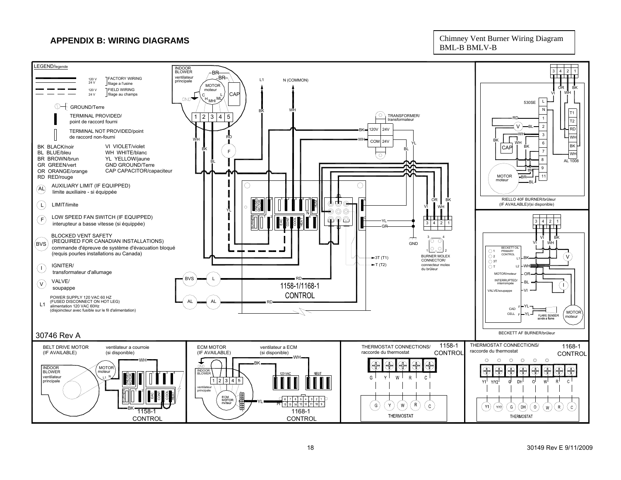# **APPENDIX B: WIRING DIAGRAMS** Chimney Vent Burner Wiring Diagram

BML-B BMLV-B

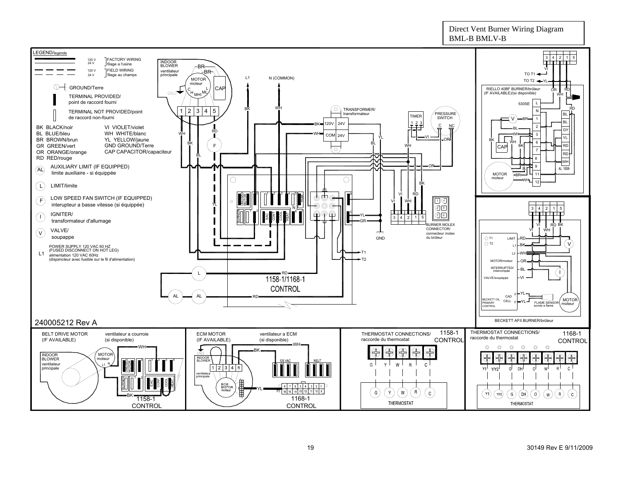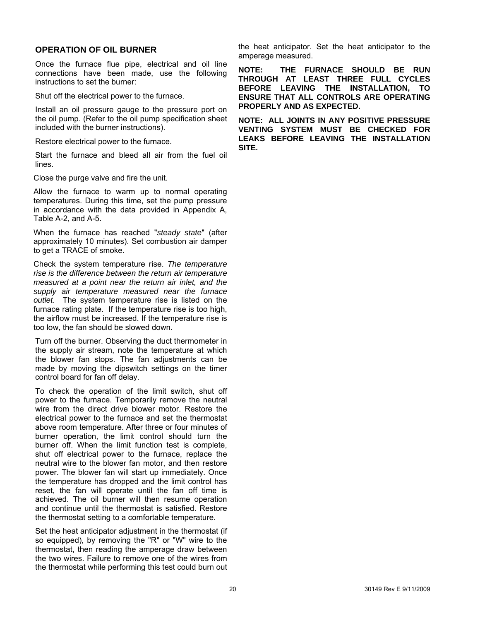#### **OPERATION OF OIL BURNER**

Once the furnace flue pipe, electrical and oil line connections have been made, use the following instructions to set the burner:

Shut off the electrical power to the furnace.

Install an oil pressure gauge to the pressure port on the oil pump. (Refer to the oil pump specification sheet included with the burner instructions).

Restore electrical power to the furnace.

Start the furnace and bleed all air from the fuel oil lines.

Close the purge valve and fire the unit.

Allow the furnace to warm up to normal operating temperatures. During this time, set the pump pressure in accordance with the data provided in Appendix A, Table A-2, and A-5.

When the furnace has reached "*steady state*" (after approximately 10 minutes). Set combustion air damper to get a TRACE of smoke.

Check the system temperature rise. *The temperature rise is the difference between the return air temperature measured at a point near the return air inlet, and the supply air temperature measured near the furnace outlet*. The system temperature rise is listed on the furnace rating plate. If the temperature rise is too high, the airflow must be increased. If the temperature rise is too low, the fan should be slowed down.

Turn off the burner. Observing the duct thermometer in the supply air stream, note the temperature at which the blower fan stops. The fan adjustments can be made by moving the dipswitch settings on the timer control board for fan off delay.

To check the operation of the limit switch, shut off power to the furnace. Temporarily remove the neutral wire from the direct drive blower motor. Restore the electrical power to the furnace and set the thermostat above room temperature. After three or four minutes of burner operation, the limit control should turn the burner off. When the limit function test is complete, shut off electrical power to the furnace, replace the neutral wire to the blower fan motor, and then restore power. The blower fan will start up immediately. Once the temperature has dropped and the limit control has reset, the fan will operate until the fan off time is achieved. The oil burner will then resume operation and continue until the thermostat is satisfied. Restore the thermostat setting to a comfortable temperature.

Set the heat anticipator adjustment in the thermostat (if so equipped), by removing the "R" or "W" wire to the thermostat, then reading the amperage draw between the two wires. Failure to remove one of the wires from the thermostat while performing this test could burn out

the heat anticipator. Set the heat anticipator to the amperage measured.

**NOTE: THE FURNACE SHOULD BE RUN THROUGH AT LEAST THREE FULL CYCLES BEFORE LEAVING THE INSTALLATION, TO ENSURE THAT ALL CONTROLS ARE OPERATING PROPERLY AND AS EXPECTED.** 

**NOTE: ALL JOINTS IN ANY POSITIVE PRESSURE VENTING SYSTEM MUST BE CHECKED FOR LEAKS BEFORE LEAVING THE INSTALLATION SITE.**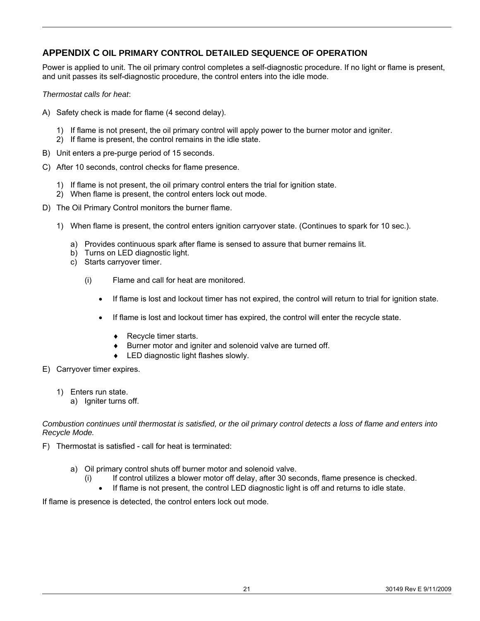## **APPENDIX C OIL PRIMARY CONTROL DETAILED SEQUENCE OF OPERATION**

Power is applied to unit. The oil primary control completes a self-diagnostic procedure. If no light or flame is present, and unit passes its self-diagnostic procedure, the control enters into the idle mode.

*Thermostat calls for heat*:

- A) Safety check is made for flame (4 second delay).
	- 1) If flame is not present, the oil primary control will apply power to the burner motor and igniter.
	- 2) If flame is present, the control remains in the idle state.
- B) Unit enters a pre-purge period of 15 seconds.
- C) After 10 seconds, control checks for flame presence.
	- 1) If flame is not present, the oil primary control enters the trial for ignition state.
	- 2) When flame is present, the control enters lock out mode.
- D) The Oil Primary Control monitors the burner flame.
	- 1) When flame is present, the control enters ignition carryover state. (Continues to spark for 10 sec.).
		- a) Provides continuous spark after flame is sensed to assure that burner remains lit.
		- b) Turns on LED diagnostic light.
		- c) Starts carryover timer.
			- (i) Flame and call for heat are monitored.
				- If flame is lost and lockout timer has not expired, the control will return to trial for ignition state.
				- If flame is lost and lockout timer has expired, the control will enter the recycle state.
					- ♦ Recycle timer starts.
					- Burner motor and igniter and solenoid valve are turned off.
					- ♦ LED diagnostic light flashes slowly.
- E) Carryover timer expires.
	- 1) Enters run state.
		- a) Igniter turns off.

#### *Combustion continues until thermostat is satisfied, or the oil primary control detects a loss of flame and enters into Recycle Mode.*

- F) Thermostat is satisfied call for heat is terminated:
	- a) Oil primary control shuts off burner motor and solenoid valve.
		- (i) If control utilizes a blower motor off delay, after 30 seconds, flame presence is checked.
		- If flame is not present, the control LED diagnostic light is off and returns to idle state.

If flame is presence is detected, the control enters lock out mode.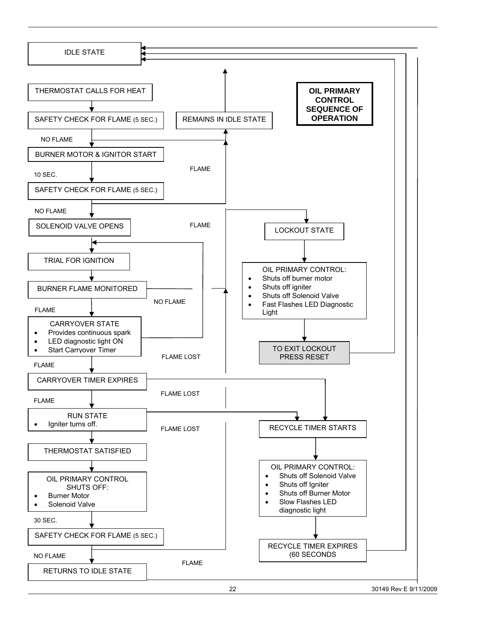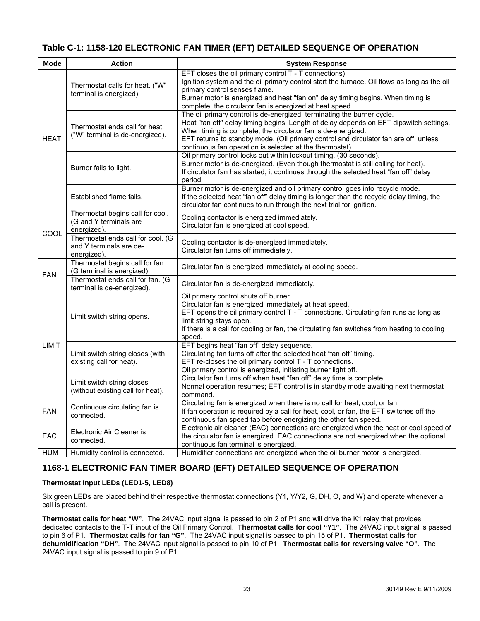# **Table C-1: 1158-120 ELECTRONIC FAN TIMER (EFT) DETAILED SEQUENCE OF OPERATION**

| <b>Mode</b> | <b>Action</b>                                                               | <b>System Response</b>                                                                                                                                                                                                                                                                                                                                                               |
|-------------|-----------------------------------------------------------------------------|--------------------------------------------------------------------------------------------------------------------------------------------------------------------------------------------------------------------------------------------------------------------------------------------------------------------------------------------------------------------------------------|
|             | Thermostat calls for heat. ("W"<br>terminal is energized).                  | EFT closes the oil primary control T - T connections).<br>Ignition system and the oil primary control start the furnace. Oil flows as long as the oil<br>primary control senses flame.<br>Burner motor is energized and heat "fan on" delay timing begins. When timing is<br>complete, the circulator fan is energized at heat speed.                                                |
| <b>HEAT</b> | Thermostat ends call for heat.<br>("W" terminal is de-energized).           | The oil primary control is de-energized, terminating the burner cycle.<br>Heat "fan off" delay timing begins. Length of delay depends on EFT dipswitch settings.<br>When timing is complete, the circulator fan is de-energized.<br>EFT returns to standby mode, (Oil primary control and circulator fan are off, unless<br>continuous fan operation is selected at the thermostat). |
|             | Burner fails to light.                                                      | Oil primary control locks out within lockout timing, (30 seconds).<br>Burner motor is de-energized. (Even though thermostat is still calling for heat).<br>If circulator fan has started, it continues through the selected heat "fan off" delay<br>period.                                                                                                                          |
|             | Established flame fails.                                                    | Burner motor is de-energized and oil primary control goes into recycle mode.<br>If the selected heat "fan off" delay timing is longer than the recycle delay timing, the<br>circulator fan continues to run through the next trial for ignition.                                                                                                                                     |
| COOL        | Thermostat begins call for cool.<br>(G and Y terminals are<br>energized).   | Cooling contactor is energized immediately.<br>Circulator fan is energized at cool speed.                                                                                                                                                                                                                                                                                            |
|             | Thermostat ends call for cool. (G<br>and Y terminals are de-<br>energized). | Cooling contactor is de-energized immediately.<br>Circulator fan turns off immediately.                                                                                                                                                                                                                                                                                              |
| <b>FAN</b>  | Thermostat begins call for fan.<br>(G terminal is energized).               | Circulator fan is energized immediately at cooling speed.                                                                                                                                                                                                                                                                                                                            |
|             | Thermostat ends call for fan. (G<br>terminal is de-energized).              | Circulator fan is de-energized immediately.                                                                                                                                                                                                                                                                                                                                          |
|             | Limit switch string opens.                                                  | Oil primary control shuts off burner.<br>Circulator fan is energized immediately at heat speed.<br>EFT opens the oil primary control $T - T$ connections. Circulating fan runs as long as<br>limit string stays open.<br>If there is a call for cooling or fan, the circulating fan switches from heating to cooling<br>speed.                                                       |
| LIMIT       | Limit switch string closes (with<br>existing call for heat).                | EFT begins heat "fan off" delay sequence.<br>Circulating fan turns off after the selected heat "fan off" timing.<br>EFT re-closes the oil primary control T - T connections.<br>Oil primary control is energized, initiating burner light off.                                                                                                                                       |
|             | Limit switch string closes<br>(without existing call for heat).             | Circulator fan turns off when heat "fan off" delay time is complete.<br>Normal operation resumes; EFT control is in standby mode awaiting next thermostat<br>command.                                                                                                                                                                                                                |
| <b>FAN</b>  | Continuous circulating fan is<br>connected.                                 | Circulating fan is energized when there is no call for heat, cool, or fan.<br>If fan operation is required by a call for heat, cool, or fan, the EFT switches off the<br>continuous fan speed tap before energizing the other fan speed.                                                                                                                                             |
| EAC         | Electronic Air Cleaner is<br>connected.                                     | Electronic air cleaner (EAC) connections are energized when the heat or cool speed of<br>the circulator fan is energized. EAC connections are not energized when the optional<br>continuous fan terminal is energized.                                                                                                                                                               |
| <b>HUM</b>  | Humidity control is connected.                                              | Humidifier connections are energized when the oil burner motor is energized.                                                                                                                                                                                                                                                                                                         |

#### **1168-1 ELECTRONIC FAN TIMER BOARD (EFT) DETAILED SEQUENCE OF OPERATION**

#### **Thermostat Input LEDs (LED1-5, LED8)**

Six green LEDs are placed behind their respective thermostat connections (Y1, Y/Y2, G, DH, O, and W) and operate whenever a call is present.

**Thermostat calls for heat "W"**. The 24VAC input signal is passed to pin 2 of P1 and will drive the K1 relay that provides dedicated contacts to the T-T input of the Oil Primary Control. **Thermostat calls for cool "Y1"**. The 24VAC input signal is passed to pin 6 of P1. **Thermostat calls for fan "G"**. The 24VAC input signal is passed to pin 15 of P1. **Thermostat calls for dehumidification "DH"**. The 24VAC input signal is passed to pin 10 of P1. **Thermostat calls for reversing valve "O"**. The 24VAC input signal is passed to pin 9 of P1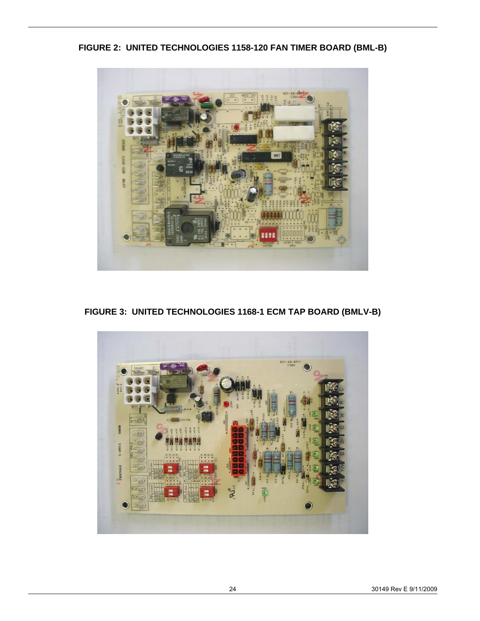**FIGURE 2: UNITED TECHNOLOGIES 1158-120 FAN TIMER BOARD (BML-B)** 



**FIGURE 3: UNITED TECHNOLOGIES 1168-1 ECM TAP BOARD (BMLV-B)** 

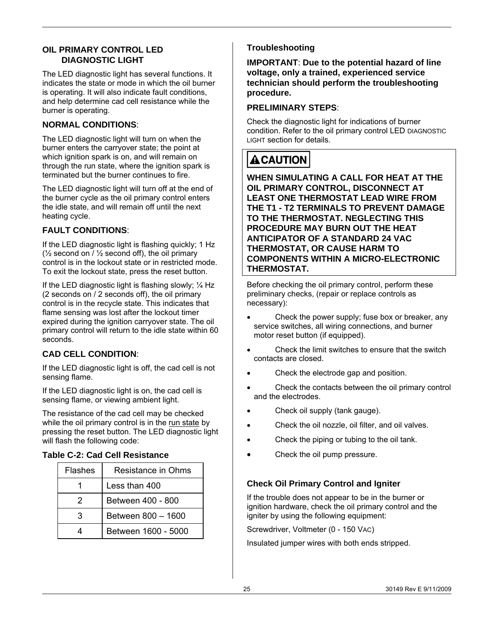#### **OIL PRIMARY CONTROL LED DIAGNOSTIC LIGHT**

The LED diagnostic light has several functions. It indicates the state or mode in which the oil burner is operating. It will also indicate fault conditions, and help determine cad cell resistance while the burner is operating.

## **NORMAL CONDITIONS**:

The LED diagnostic light will turn on when the burner enters the carryover state; the point at which ignition spark is on, and will remain on through the run state, where the ignition spark is terminated but the burner continues to fire.

The LED diagnostic light will turn off at the end of the burner cycle as the oil primary control enters the idle state, and will remain off until the next heating cycle.

# **FAULT CONDITIONS**:

If the LED diagnostic light is flashing quickly; 1 Hz ( $\frac{1}{2}$  second on /  $\frac{1}{2}$  second off), the oil primary control is in the lockout state or in restricted mode. To exit the lockout state, press the reset button.

If the LED diagnostic light is flashing slowly;  $\frac{1}{4}$  Hz (2 seconds on / 2 seconds off), the oil primary control is in the recycle state. This indicates that flame sensing was lost after the lockout timer expired during the ignition carryover state. The oil primary control will return to the idle state within 60 seconds.

# **CAD CELL CONDITION**:

If the LED diagnostic light is off, the cad cell is not sensing flame.

If the LED diagnostic light is on, the cad cell is sensing flame, or viewing ambient light.

The resistance of the cad cell may be checked while the oil primary control is in the run state by pressing the reset button. The LED diagnostic light will flash the following code:

### **Table C-2: Cad Cell Resistance**

| Flashes | Resistance in Ohms  |  |  |  |
|---------|---------------------|--|--|--|
|         | Less than 400       |  |  |  |
| 2       | Between 400 - 800   |  |  |  |
| З       | Between 800 - 1600  |  |  |  |
|         | Between 1600 - 5000 |  |  |  |

# **Troubleshooting**

**IMPORTANT**: **Due to the potential hazard of line voltage, only a trained, experienced service technician should perform the troubleshooting procedure.**

#### **PRELIMINARY STEPS**:

Check the diagnostic light for indications of burner condition. Refer to the oil primary control LED DIAGNOSTIC LIGHT section for details.

# **A CAUTION**

**WHEN SIMULATING A CALL FOR HEAT AT THE OIL PRIMARY CONTROL, DISCONNECT AT LEAST ONE THERMOSTAT LEAD WIRE FROM THE T1 - T2 TERMINALS TO PREVENT DAMAGE TO THE THERMOSTAT. NEGLECTING THIS PROCEDURE MAY BURN OUT THE HEAT ANTICIPATOR OF A STANDARD 24 VAC THERMOSTAT, OR CAUSE HARM TO COMPONENTS WITHIN A MICRO-ELECTRONIC THERMOSTAT.** 

Before checking the oil primary control, perform these preliminary checks, (repair or replace controls as necessary):

- Check the power supply; fuse box or breaker, any service switches, all wiring connections, and burner motor reset button (if equipped).
- Check the limit switches to ensure that the switch contacts are closed.
- Check the electrode gap and position.
- Check the contacts between the oil primary control and the electrodes.
- Check oil supply (tank gauge).
- Check the oil nozzle, oil filter, and oil valves.
- Check the piping or tubing to the oil tank.
- Check the oil pump pressure.

### **Check Oil Primary Control and Igniter**

If the trouble does not appear to be in the burner or ignition hardware, check the oil primary control and the igniter by using the following equipment:

Screwdriver, Voltmeter (0 - 150 VAC)

Insulated jumper wires with both ends stripped.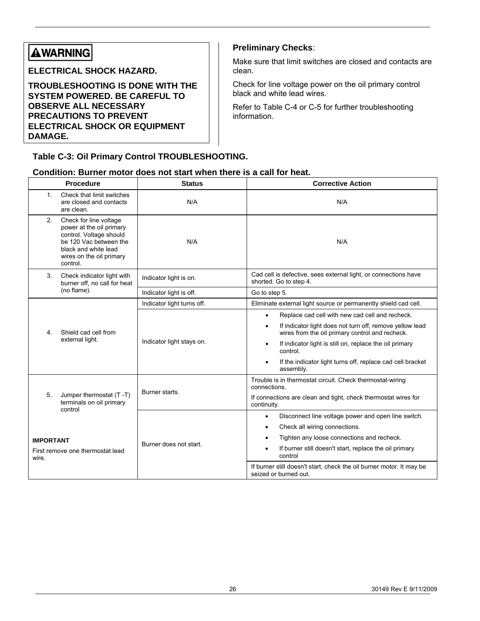# **AWARNING**

**ELECTRICAL SHOCK HAZARD.** 

**TROUBLESHOOTING IS DONE WITH THE SYSTEM POWERED. BE CAREFUL TO OBSERVE ALL NECESSARY PRECAUTIONS TO PREVENT ELECTRICAL SHOCK OR EQUIPMENT DAMAGE.**

#### **Table C-3: Oil Primary Control TROUBLESHOOTING.**

#### **Preliminary Checks**:

Make sure that limit switches are closed and contacts are clean.

Check for line voltage power on the oil primary control black and white lead wires.

Refer to Table C-4 or C-5 for further troubleshooting information.

#### **Condition: Burner motor does not start when there is a call for heat.**

|                                                                          | <b>Procedure</b>                                                                                                                                                        | <b>Status</b>              | <b>Corrective Action</b>                                                                                                                                                                                                                                                                                                                                             |
|--------------------------------------------------------------------------|-------------------------------------------------------------------------------------------------------------------------------------------------------------------------|----------------------------|----------------------------------------------------------------------------------------------------------------------------------------------------------------------------------------------------------------------------------------------------------------------------------------------------------------------------------------------------------------------|
| $1_{-}$                                                                  | Check that limit switches<br>are closed and contacts<br>are clean.                                                                                                      | N/A                        | N/A                                                                                                                                                                                                                                                                                                                                                                  |
| 2.                                                                       | Check for line voltage<br>power at the oil primary<br>control. Voltage should<br>be 120 Vac between the<br>black and white lead<br>wires on the oil primary<br>control. | N/A                        | N/A                                                                                                                                                                                                                                                                                                                                                                  |
| 3.                                                                       | Check indicator light with<br>burner off, no call for heat                                                                                                              | Indicator light is on.     | Cad cell is defective, sees external light, or connections have<br>shorted. Go to step 4.                                                                                                                                                                                                                                                                            |
|                                                                          | (no flame).                                                                                                                                                             | Indicator light is off.    | Go to step 5.                                                                                                                                                                                                                                                                                                                                                        |
| 4.                                                                       | Shield cad cell from<br>external light.                                                                                                                                 | Indicator light turns off. | Eliminate external light source or permanently shield cad cell.                                                                                                                                                                                                                                                                                                      |
|                                                                          |                                                                                                                                                                         | Indicator light stays on.  | Replace cad cell with new cad cell and recheck.<br>$\bullet$<br>If indicator light does not turn off, remove yellow lead<br>$\bullet$<br>wires from the oil primary control and recheck.<br>If indicator light is still on, replace the oil primary<br>$\bullet$<br>control.<br>If the indicator light turns off, replace cad cell bracket<br>$\bullet$<br>assembly. |
| 5.                                                                       | Jumper thermostat (T-T)<br>terminals on oil primary                                                                                                                     | Burner starts.             | Trouble is in thermostat circuit. Check thermostat-wiring<br>connections.<br>If connections are clean and tight, check thermostat wires for<br>continuity.                                                                                                                                                                                                           |
| control<br><b>IMPORTANT</b><br>First remove one thermostat lead<br>wire. |                                                                                                                                                                         | Burner does not start.     | Disconnect line voltage power and open line switch.<br>$\bullet$<br>Check all wiring connections.<br>$\bullet$<br>Tighten any loose connections and recheck.<br>$\bullet$<br>If burner still doesn't start, replace the oil primary<br>$\bullet$<br>control<br>If burner still doesn't start, check the oil burner motor. It may be<br>seized or burned out.         |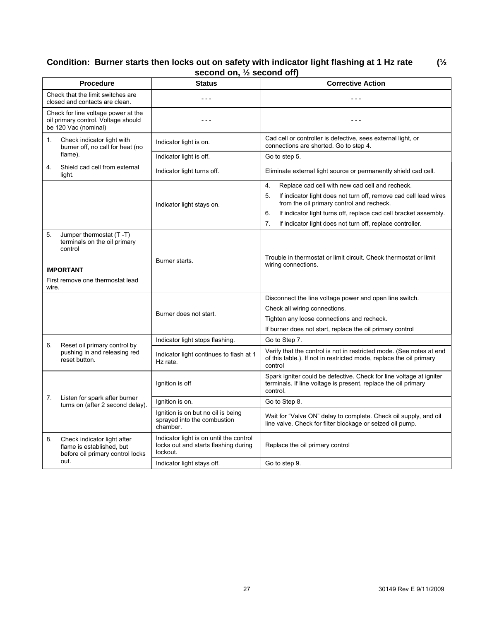#### **Condition: Burner starts then locks out on safety with indicator light flashing at 1 Hz rate (½ second on, ½ second off)**

|       | <b>Procedure</b>                                                                                   | <b>Status</b>                                                                               | <b>Corrective Action</b>                                                                                                                               |
|-------|----------------------------------------------------------------------------------------------------|---------------------------------------------------------------------------------------------|--------------------------------------------------------------------------------------------------------------------------------------------------------|
|       | Check that the limit switches are                                                                  |                                                                                             |                                                                                                                                                        |
|       | closed and contacts are clean.                                                                     | $- - -$                                                                                     | $- - -$                                                                                                                                                |
|       | Check for line voltage power at the<br>oil primary control. Voltage should<br>be 120 Vac (nominal) | $- - -$                                                                                     | $- - -$                                                                                                                                                |
| 1.    | Check indicator light with<br>burner off, no call for heat (no                                     | Indicator light is on.                                                                      | Cad cell or controller is defective, sees external light, or<br>connections are shorted. Go to step 4.                                                 |
|       | flame).                                                                                            | Indicator light is off.                                                                     | Go to step 5.                                                                                                                                          |
| 4.    | Shield cad cell from external<br>light.                                                            | Indicator light turns off.                                                                  | Eliminate external light source or permanently shield cad cell.                                                                                        |
|       |                                                                                                    |                                                                                             | 4.<br>Replace cad cell with new cad cell and recheck.                                                                                                  |
|       |                                                                                                    | Indicator light stays on.                                                                   | 5.<br>If indicator light does not turn off, remove cad cell lead wires<br>from the oil primary control and recheck.                                    |
|       |                                                                                                    |                                                                                             | 6.<br>If indicator light turns off, replace cad cell bracket assembly.                                                                                 |
|       |                                                                                                    |                                                                                             | 7.<br>If indicator light does not turn off, replace controller.                                                                                        |
| 5.    | Jumper thermostat (T-T)<br>terminals on the oil primary<br>control<br><b>IMPORTANT</b>             | Burner starts.                                                                              | Trouble in thermostat or limit circuit. Check thermostat or limit<br>wiring connections.                                                               |
| wire. | First remove one thermostat lead                                                                   |                                                                                             |                                                                                                                                                        |
|       |                                                                                                    |                                                                                             | Disconnect the line voltage power and open line switch.                                                                                                |
|       |                                                                                                    | Burner does not start.                                                                      | Check all wiring connections.                                                                                                                          |
|       |                                                                                                    |                                                                                             | Tighten any loose connections and recheck.                                                                                                             |
|       |                                                                                                    |                                                                                             | If burner does not start, replace the oil primary control                                                                                              |
| 6.    | Reset oil primary control by                                                                       | Indicator light stops flashing.                                                             | Go to Step 7.                                                                                                                                          |
|       | pushing in and releasing red<br>reset button.                                                      | Indicator light continues to flash at 1<br>Hz rate.                                         | Verify that the control is not in restricted mode. (See notes at end<br>of this table.). If not in restricted mode, replace the oil primary<br>control |
|       |                                                                                                    | Ignition is off                                                                             | Spark igniter could be defective. Check for line voltage at igniter<br>terminals. If line voltage is present, replace the oil primary<br>control.      |
|       | 7.<br>Listen for spark after burner<br>turns on (after 2 second delay).                            | Ignition is on.                                                                             | Go to Step 8.                                                                                                                                          |
|       |                                                                                                    | Ignition is on but no oil is being<br>sprayed into the combustion<br>chamber.               | Wait for "Valve ON" delay to complete. Check oil supply, and oil<br>line valve. Check for filter blockage or seized oil pump.                          |
| 8.    | Check indicator light after<br>flame is established, but<br>before oil primary control locks       | Indicator light is on until the control<br>locks out and starts flashing during<br>lockout. | Replace the oil primary control                                                                                                                        |
|       | out.                                                                                               | Indicator light stays off.                                                                  | Go to step 9.                                                                                                                                          |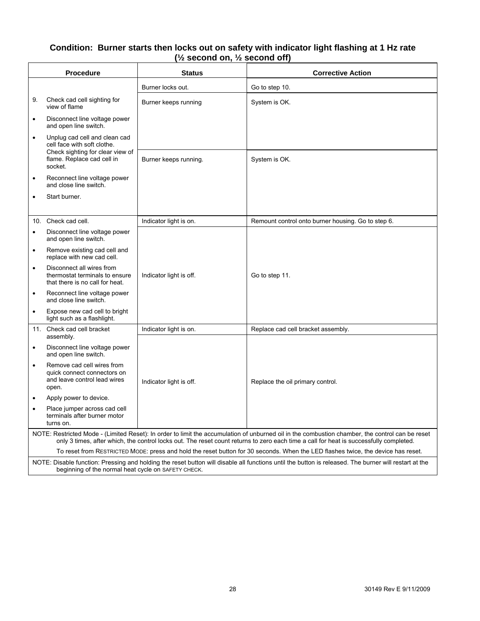#### **Condition: Burner starts then locks out on safety with indicator light flashing at 1 Hz rate (½ second on, ½ second off)**

|                                                                                                                                                                                                                                                                                           | <b>Corrective Action</b>                                                                                                                                                                                                                                                                                                                                                           |  |  |
|-------------------------------------------------------------------------------------------------------------------------------------------------------------------------------------------------------------------------------------------------------------------------------------------|------------------------------------------------------------------------------------------------------------------------------------------------------------------------------------------------------------------------------------------------------------------------------------------------------------------------------------------------------------------------------------|--|--|
| Burner locks out.                                                                                                                                                                                                                                                                         | Go to step 10.                                                                                                                                                                                                                                                                                                                                                                     |  |  |
| Burner keeps running                                                                                                                                                                                                                                                                      | System is OK.                                                                                                                                                                                                                                                                                                                                                                      |  |  |
|                                                                                                                                                                                                                                                                                           |                                                                                                                                                                                                                                                                                                                                                                                    |  |  |
|                                                                                                                                                                                                                                                                                           |                                                                                                                                                                                                                                                                                                                                                                                    |  |  |
| Burner keeps running.                                                                                                                                                                                                                                                                     | System is OK.                                                                                                                                                                                                                                                                                                                                                                      |  |  |
|                                                                                                                                                                                                                                                                                           |                                                                                                                                                                                                                                                                                                                                                                                    |  |  |
|                                                                                                                                                                                                                                                                                           |                                                                                                                                                                                                                                                                                                                                                                                    |  |  |
|                                                                                                                                                                                                                                                                                           | Remount control onto burner housing. Go to step 6.                                                                                                                                                                                                                                                                                                                                 |  |  |
|                                                                                                                                                                                                                                                                                           |                                                                                                                                                                                                                                                                                                                                                                                    |  |  |
|                                                                                                                                                                                                                                                                                           |                                                                                                                                                                                                                                                                                                                                                                                    |  |  |
| Indicator light is off.                                                                                                                                                                                                                                                                   | Go to step 11.                                                                                                                                                                                                                                                                                                                                                                     |  |  |
|                                                                                                                                                                                                                                                                                           |                                                                                                                                                                                                                                                                                                                                                                                    |  |  |
|                                                                                                                                                                                                                                                                                           |                                                                                                                                                                                                                                                                                                                                                                                    |  |  |
| Indicator light is on.                                                                                                                                                                                                                                                                    | Replace cad cell bracket assembly.                                                                                                                                                                                                                                                                                                                                                 |  |  |
|                                                                                                                                                                                                                                                                                           |                                                                                                                                                                                                                                                                                                                                                                                    |  |  |
| Indicator light is off.                                                                                                                                                                                                                                                                   | Replace the oil primary control.                                                                                                                                                                                                                                                                                                                                                   |  |  |
|                                                                                                                                                                                                                                                                                           |                                                                                                                                                                                                                                                                                                                                                                                    |  |  |
|                                                                                                                                                                                                                                                                                           |                                                                                                                                                                                                                                                                                                                                                                                    |  |  |
| NOTE: Restricted Mode - (Limited Reset): In order to limit the accumulation of unburned oil in the combustion chamber, the control can be reset<br>only 3 times, after which, the control locks out. The reset count returns to zero each time a call for heat is successfully completed. |                                                                                                                                                                                                                                                                                                                                                                                    |  |  |
|                                                                                                                                                                                                                                                                                           | To reset from RESTRICTED MODE: press and hold the reset button for 30 seconds. When the LED flashes twice, the device has reset.                                                                                                                                                                                                                                                   |  |  |
| NOTE: Disable function: Pressing and holding the reset button will disable all functions until the button is released. The burner will restart at the<br>beginning of the normal heat cycle on SAFETY CHECK.                                                                              |                                                                                                                                                                                                                                                                                                                                                                                    |  |  |
| quick connect connectors on<br>Place jumper across cad cell                                                                                                                                                                                                                               | <b>Status</b><br>Disconnect line voltage power<br>Unplug cad cell and clean cad<br>Check sighting for clear view of<br>Reconnect line voltage power<br>Indicator light is on.<br>Disconnect line voltage power<br>Remove existing cad cell and<br>thermostat terminals to ensure<br>Reconnect line voltage power<br>Expose new cad cell to bright<br>Disconnect line voltage power |  |  |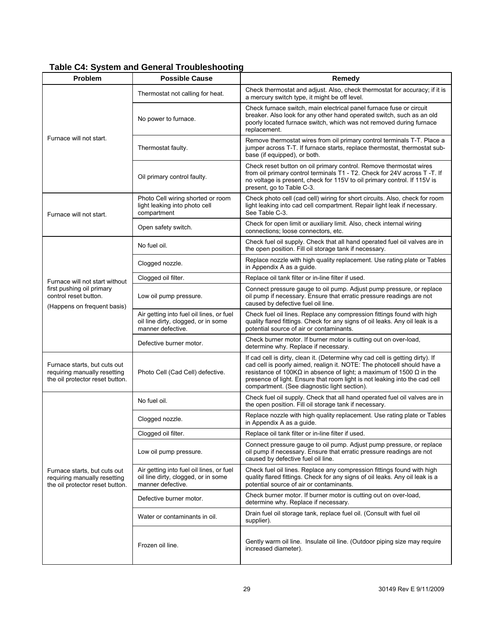| Problem                                                                                         | <b>Possible Cause</b>                                                                                | Remedy                                                                                                                                                                                                                                                                                                                                                                       |  |
|-------------------------------------------------------------------------------------------------|------------------------------------------------------------------------------------------------------|------------------------------------------------------------------------------------------------------------------------------------------------------------------------------------------------------------------------------------------------------------------------------------------------------------------------------------------------------------------------------|--|
|                                                                                                 | Thermostat not calling for heat.                                                                     | Check thermostat and adjust. Also, check thermostat for accuracy; if it is<br>a mercury switch type, it might be off level.                                                                                                                                                                                                                                                  |  |
| Furnace will not start.                                                                         | No power to furnace.                                                                                 | Check furnace switch, main electrical panel furnace fuse or circuit<br>breaker. Also look for any other hand operated switch, such as an old<br>poorly located furnace switch, which was not removed during furnace<br>replacement.                                                                                                                                          |  |
|                                                                                                 | Thermostat faulty.                                                                                   | Remove thermostat wires from oil primary control terminals T-T. Place a<br>jumper across T-T. If furnace starts, replace thermostat, thermostat sub-<br>base (if equipped), or both.                                                                                                                                                                                         |  |
|                                                                                                 | Oil primary control faulty.                                                                          | Check reset button on oil primary control. Remove thermostat wires<br>from oil primary control terminals T1 - T2. Check for 24V across T -T. If<br>no voltage is present, check for 115V to oil primary control. If 115V is<br>present, go to Table C-3.                                                                                                                     |  |
| Furnace will not start.                                                                         | Photo Cell wiring shorted or room<br>light leaking into photo cell<br>compartment                    | Check photo cell (cad cell) wiring for short circuits. Also, check for room<br>light leaking into cad cell compartment. Repair light leak if necessary.<br>See Table C-3.                                                                                                                                                                                                    |  |
|                                                                                                 | Open safety switch.                                                                                  | Check for open limit or auxiliary limit. Also, check internal wiring<br>connections; loose connectors, etc.                                                                                                                                                                                                                                                                  |  |
|                                                                                                 | No fuel oil.                                                                                         | Check fuel oil supply. Check that all hand operated fuel oil valves are in<br>the open position. Fill oil storage tank if necessary.                                                                                                                                                                                                                                         |  |
|                                                                                                 | Clogged nozzle.                                                                                      | Replace nozzle with high quality replacement. Use rating plate or Tables<br>in Appendix A as a guide.                                                                                                                                                                                                                                                                        |  |
| Furnace will not start without                                                                  | Clogged oil filter.                                                                                  | Replace oil tank filter or in-line filter if used.                                                                                                                                                                                                                                                                                                                           |  |
| first pushing oil primary<br>control reset button.<br>(Happens on frequent basis)               | Low oil pump pressure.                                                                               | Connect pressure gauge to oil pump. Adjust pump pressure, or replace<br>oil pump if necessary. Ensure that erratic pressure readings are not<br>caused by defective fuel oil line.                                                                                                                                                                                           |  |
|                                                                                                 | Air getting into fuel oil lines, or fuel<br>oil line dirty, clogged, or in some<br>manner defective. | Check fuel oil lines. Replace any compression fittings found with high<br>quality flared fittings. Check for any signs of oil leaks. Any oil leak is a<br>potential source of air or contaminants.                                                                                                                                                                           |  |
|                                                                                                 | Defective burner motor.                                                                              | Check burner motor. If burner motor is cutting out on over-load,<br>determine why. Replace if necessary.                                                                                                                                                                                                                                                                     |  |
| Furnace starts, but cuts out<br>requiring manually resetting<br>the oil protector reset button. | Photo Cell (Cad Cell) defective.                                                                     | If cad cell is dirty, clean it. (Determine why cad cell is getting dirty). If<br>cad cell is poorly aimed, realign it. NOTE: The photocell should have a<br>resistance of 100K $\Omega$ in absence of light; a maximum of 1500 $\Omega$ in the<br>presence of light. Ensure that room light is not leaking into the cad cell<br>compartment. (See diagnostic light section). |  |
|                                                                                                 | No fuel oil.                                                                                         | Check fuel oil supply. Check that all hand operated fuel oil valves are in<br>the open position. Fill oil storage tank if necessary.                                                                                                                                                                                                                                         |  |
|                                                                                                 | Clogged nozzle.                                                                                      | Replace nozzle with high quality replacement. Use rating plate or Tables<br>in Appendix A as a guide.                                                                                                                                                                                                                                                                        |  |
|                                                                                                 | Clogged oil filter.                                                                                  | Replace oil tank filter or in-line filter if used.                                                                                                                                                                                                                                                                                                                           |  |
|                                                                                                 | Low oil pump pressure.                                                                               | Connect pressure gauge to oil pump. Adjust pump pressure, or replace<br>oil pump if necessary. Ensure that erratic pressure readings are not<br>caused by defective fuel oil line.                                                                                                                                                                                           |  |
| Furnace starts, but cuts out<br>requiring manually resetting<br>the oil protector reset button. | Air getting into fuel oil lines, or fuel<br>oil line dirty, clogged, or in some<br>manner defective. | Check fuel oil lines. Replace any compression fittings found with high<br>quality flared fittings. Check for any signs of oil leaks. Any oil leak is a<br>potential source of air or contaminants.                                                                                                                                                                           |  |
|                                                                                                 | Defective burner motor.                                                                              | Check burner motor. If burner motor is cutting out on over-load,<br>determine why. Replace if necessary.                                                                                                                                                                                                                                                                     |  |
|                                                                                                 | Water or contaminants in oil.                                                                        | Drain fuel oil storage tank, replace fuel oil. (Consult with fuel oil<br>supplier).                                                                                                                                                                                                                                                                                          |  |
|                                                                                                 | Frozen oil line.                                                                                     | Gently warm oil line. Insulate oil line. (Outdoor piping size may require<br>increased diameter).                                                                                                                                                                                                                                                                            |  |

# **Table C4: System and General Troubleshooting**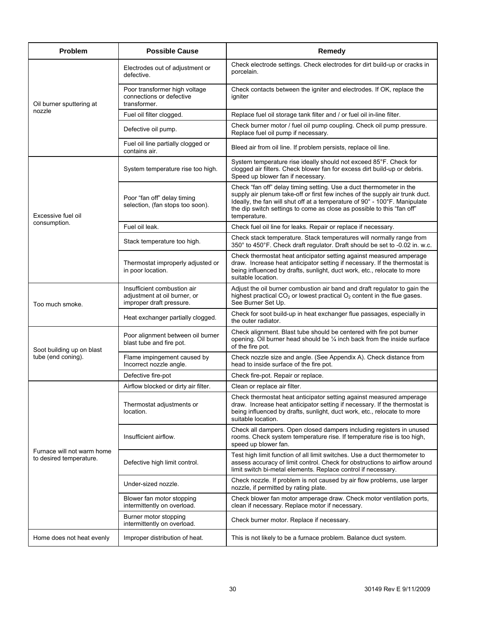| Problem                                               | <b>Possible Cause</b>                                                                   | Remedy                                                                                                                                                                                                                                                                                                                      |  |
|-------------------------------------------------------|-----------------------------------------------------------------------------------------|-----------------------------------------------------------------------------------------------------------------------------------------------------------------------------------------------------------------------------------------------------------------------------------------------------------------------------|--|
|                                                       | Electrodes out of adjustment or<br>defective.                                           | Check electrode settings. Check electrodes for dirt build-up or cracks in<br>porcelain.                                                                                                                                                                                                                                     |  |
| Oil burner sputtering at                              | Poor transformer high voltage<br>connections or defective<br>transformer.               | Check contacts between the igniter and electrodes. If OK, replace the<br>igniter                                                                                                                                                                                                                                            |  |
| nozzle                                                | Fuel oil filter clogged.                                                                | Replace fuel oil storage tank filter and / or fuel oil in-line filter.                                                                                                                                                                                                                                                      |  |
|                                                       | Defective oil pump.                                                                     | Check burner motor / fuel oil pump coupling. Check oil pump pressure.<br>Replace fuel oil pump if necessary.                                                                                                                                                                                                                |  |
|                                                       | Fuel oil line partially clogged or<br>contains air.                                     | Bleed air from oil line. If problem persists, replace oil line.                                                                                                                                                                                                                                                             |  |
|                                                       | System temperature rise too high.                                                       | System temperature rise ideally should not exceed 85°F. Check for<br>clogged air filters. Check blower fan for excess dirt build-up or debris.<br>Speed up blower fan if necessary.                                                                                                                                         |  |
| Excessive fuel oil                                    | Poor "fan off" delay timing<br>selection, (fan stops too soon).                         | Check "fan off" delay timing setting. Use a duct thermometer in the<br>supply air plenum take-off or first few inches of the supply air trunk duct.<br>Ideally, the fan will shut off at a temperature of 90° - 100°F. Manipulate<br>the dip switch settings to come as close as possible to this "fan off"<br>temperature. |  |
| consumption.                                          | Fuel oil leak.                                                                          | Check fuel oil line for leaks. Repair or replace if necessary.                                                                                                                                                                                                                                                              |  |
|                                                       | Stack temperature too high.                                                             | Check stack temperature. Stack temperatures will normally range from<br>350° to 450°F. Check draft regulator. Draft should be set to -0.02 in. w.c.                                                                                                                                                                         |  |
|                                                       | Thermostat improperly adjusted or<br>in poor location.                                  | Check thermostat heat anticipator setting against measured amperage<br>draw. Increase heat anticipator setting if necessary. If the thermostat is<br>being influenced by drafts, sunlight, duct work, etc., relocate to more<br>suitable location.                                                                          |  |
| Too much smoke.                                       | Insufficient combustion air<br>adjustment at oil burner, or<br>improper draft pressure. | Adjust the oil burner combustion air band and draft regulator to gain the<br>highest practical $CO2$ or lowest practical $O2$ content in the flue gases.<br>See Burner Set Up.                                                                                                                                              |  |
|                                                       | Heat exchanger partially clogged.                                                       | Check for soot build-up in heat exchanger flue passages, especially in<br>the outer radiator.                                                                                                                                                                                                                               |  |
| Soot building up on blast                             | Poor alignment between oil burner<br>blast tube and fire pot.                           | Check alignment. Blast tube should be centered with fire pot burner<br>opening. Oil burner head should be 1/4 inch back from the inside surface<br>of the fire pot.                                                                                                                                                         |  |
| tube (end coning).                                    | Flame impingement caused by<br>Incorrect nozzle angle.                                  | Check nozzle size and angle. (See Appendix A). Check distance from<br>head to inside surface of the fire pot.                                                                                                                                                                                                               |  |
|                                                       | Defective fire-pot                                                                      | Check fire-pot. Repair or replace.                                                                                                                                                                                                                                                                                          |  |
|                                                       | Airflow blocked or dirty air filter.                                                    | Clean or replace air filter.                                                                                                                                                                                                                                                                                                |  |
|                                                       | Thermostat adjustments or<br>location.                                                  | Check thermostat heat anticipator setting against measured amperage<br>draw. Increase heat anticipator setting if necessary. If the thermostat is<br>being influenced by drafts, sunlight, duct work, etc., relocate to more<br>suitable location.                                                                          |  |
|                                                       | Insufficient airflow.                                                                   | Check all dampers. Open closed dampers including registers in unused<br>rooms. Check system temperature rise. If temperature rise is too high,<br>speed up blower fan.                                                                                                                                                      |  |
| Furnace will not warm home<br>to desired temperature. | Defective high limit control.                                                           | Test high limit function of all limit switches. Use a duct thermometer to<br>assess accuracy of limit control. Check for obstructions to airflow around<br>limit switch bi-metal elements. Replace control if necessary.                                                                                                    |  |
|                                                       | Under-sized nozzle.                                                                     | Check nozzle. If problem is not caused by air flow problems, use larger<br>nozzle, if permitted by rating plate.                                                                                                                                                                                                            |  |
|                                                       | Blower fan motor stopping<br>intermittently on overload.                                | Check blower fan motor amperage draw. Check motor ventilation ports,<br>clean if necessary. Replace motor if necessary.                                                                                                                                                                                                     |  |
|                                                       | Burner motor stopping<br>intermittently on overload.                                    | Check burner motor. Replace if necessary.                                                                                                                                                                                                                                                                                   |  |
| Home does not heat evenly                             | Improper distribution of heat.                                                          | This is not likely to be a furnace problem. Balance duct system.                                                                                                                                                                                                                                                            |  |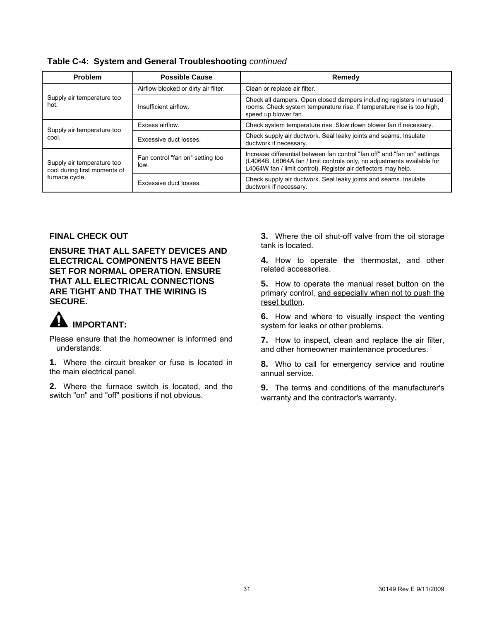| <b>Problem</b>                                             | <b>Possible Cause</b>                    | Remedy                                                                                                                                                                                                                  |  |
|------------------------------------------------------------|------------------------------------------|-------------------------------------------------------------------------------------------------------------------------------------------------------------------------------------------------------------------------|--|
|                                                            | Airflow blocked or dirty air filter.     | Clean or replace air filter.                                                                                                                                                                                            |  |
| Supply air temperature too<br>hot.                         | Insufficient airflow.                    | Check all dampers. Open closed dampers including registers in unused<br>rooms. Check system temperature rise. If temperature rise is too high,<br>speed up blower fan.                                                  |  |
| Supply air temperature too                                 | Excess airflow.                          | Check system temperature rise. Slow down blower fan if necessary.                                                                                                                                                       |  |
| cool.                                                      | Excessive duct losses.                   | Check supply air ductwork. Seal leaky joints and seams. Insulate<br>ductwork if necessary.                                                                                                                              |  |
| Supply air temperature too<br>cool during first moments of | Fan control "fan on" setting too<br>low. | Increase differential between fan control "fan off" and "fan on" settings.<br>(L4064B, L6064A fan / limit controls only, no adjustments available for<br>L4064W fan / limit control). Register air deflectors may help. |  |
| furnace cycle.                                             | Excessive duct losses.                   | Check supply air ductwork. Seal leaky joints and seams. Insulate<br>ductwork if necessary.                                                                                                                              |  |

**Table C-4: System and General Troubleshooting** *continued*

#### **FINAL CHECK OUT**

**ENSURE THAT ALL SAFETY DEVICES AND ELECTRICAL COMPONENTS HAVE BEEN SET FOR NORMAL OPERATION. ENSURE THAT ALL ELECTRICAL CONNECTIONS ARE TIGHT AND THAT THE WIRING IS SECURE.**

# **IMPORTANT:**

Please ensure that the homeowner is informed and understands:

**1.** Where the circuit breaker or fuse is located in the main electrical panel.

**2.** Where the furnace switch is located, and the switch "on" and "off" positions if not obvious.

**3.** Where the oil shut-off valve from the oil storage tank is located.

**4.** How to operate the thermostat, and other related accessories.

**5.** How to operate the manual reset button on the primary control, and especially when not to push the reset button.

**6.** How and where to visually inspect the venting system for leaks or other problems.

**7.** How to inspect, clean and replace the air filter, and other homeowner maintenance procedures.

**8.** Who to call for emergency service and routine annual service.

**9.** The terms and conditions of the manufacturer's warranty and the contractor's warranty.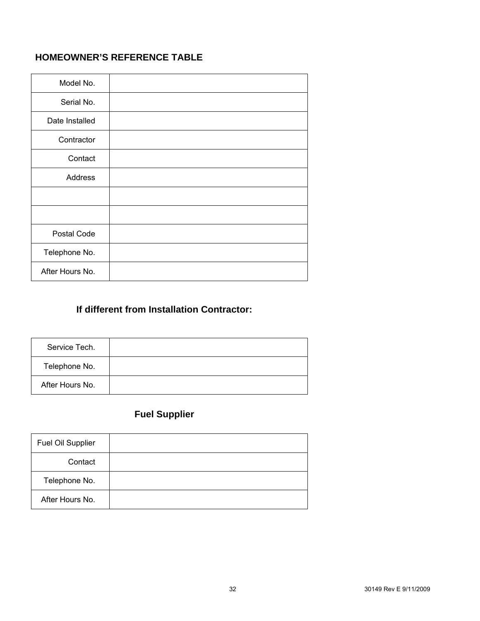# **HOMEOWNER'S REFERENCE TABLE**

| Model No.       |  |
|-----------------|--|
| Serial No.      |  |
| Date Installed  |  |
| Contractor      |  |
| Contact         |  |
| Address         |  |
|                 |  |
|                 |  |
| Postal Code     |  |
| Telephone No.   |  |
| After Hours No. |  |

# **If different from Installation Contractor:**

| Service Tech.   |  |
|-----------------|--|
| Telephone No.   |  |
| After Hours No. |  |

# **Fuel Supplier**

| Fuel Oil Supplier |  |
|-------------------|--|
| Contact           |  |
| Telephone No.     |  |
| After Hours No.   |  |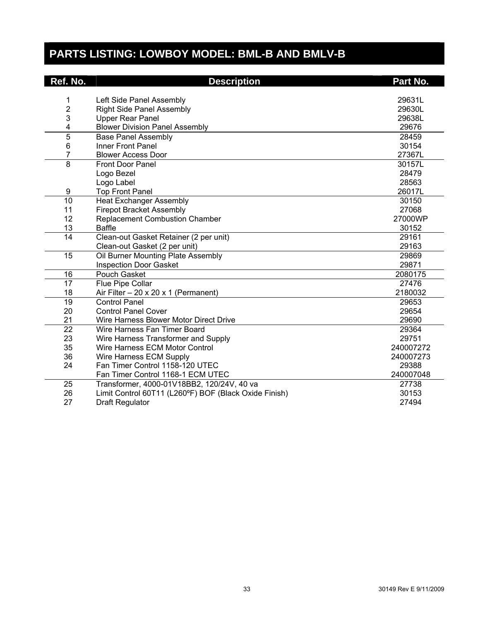# **PARTS LISTING: LOWBOY MODEL: BML-B AND BMLV-B**

| Ref. No.        | <b>Description</b>                                    | Part No.  |
|-----------------|-------------------------------------------------------|-----------|
|                 |                                                       |           |
| 1               | Left Side Panel Assembly                              | 29631L    |
| $\overline{c}$  | <b>Right Side Panel Assembly</b>                      | 29630L    |
| 3               | <b>Upper Rear Panel</b>                               | 29638L    |
| 4               | <b>Blower Division Panel Assembly</b>                 | 29676     |
| $\overline{5}$  | <b>Base Panel Assembly</b>                            | 28459     |
| 6               | Inner Front Panel                                     | 30154     |
| 7               | <b>Blower Access Door</b>                             | 27367L    |
| $\overline{8}$  | <b>Front Door Panel</b>                               | 30157L    |
|                 | Logo Bezel                                            | 28479     |
|                 | Logo Label                                            | 28563     |
| 9               | <b>Top Front Panel</b>                                | 26017L    |
| 10              | <b>Heat Exchanger Assembly</b>                        | 30150     |
| 11              | <b>Firepot Bracket Assembly</b>                       | 27068     |
| 12              | <b>Replacement Combustion Chamber</b>                 | 27000WP   |
| 13              | <b>Baffle</b>                                         | 30152     |
| 14              | Clean-out Gasket Retainer (2 per unit)                | 29161     |
|                 | Clean-out Gasket (2 per unit)                         | 29163     |
| $\overline{15}$ | Oil Burner Mounting Plate Assembly                    | 29869     |
|                 | <b>Inspection Door Gasket</b>                         | 29871     |
| 16              | Pouch Gasket                                          | 2080175   |
| $\overline{17}$ | Flue Pipe Collar                                      | 27476     |
| 18              | Air Filter $-20 \times 20 \times 1$ (Permanent)       | 2180032   |
| 19              | <b>Control Panel</b>                                  | 29653     |
| 20              | <b>Control Panel Cover</b>                            | 29654     |
| 21              | Wire Harness Blower Motor Direct Drive                | 29690     |
| $\overline{22}$ | Wire Harness Fan Timer Board                          | 29364     |
| 23              | Wire Harness Transformer and Supply                   | 29751     |
| 35              | Wire Harness ECM Motor Control                        | 240007272 |
| 36              | Wire Harness ECM Supply                               | 240007273 |
| 24              | Fan Timer Control 1158-120 UTEC                       | 29388     |
|                 | Fan Timer Control 1168-1 ECM UTEC                     | 240007048 |
| 25              | Transformer, 4000-01V18BB2, 120/24V, 40 va            | 27738     |
| 26              | Limit Control 60T11 (L260°F) BOF (Black Oxide Finish) | 30153     |
| 27              | <b>Draft Regulator</b>                                | 27494     |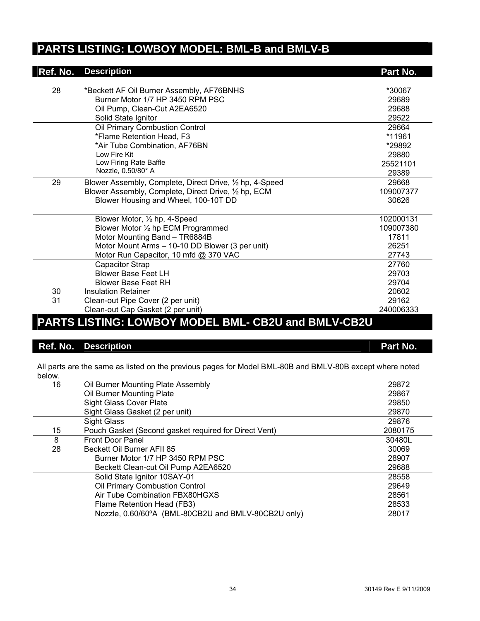# **PARTS LISTING: LOWBOY MODEL: BML-B and BMLV-B**

| <b>Ref. No.</b>                                     | <b>Description</b>                                                            | Part No.        |
|-----------------------------------------------------|-------------------------------------------------------------------------------|-----------------|
|                                                     |                                                                               |                 |
| 28                                                  | *Beckett AF Oil Burner Assembly, AF76BNHS<br>Burner Motor 1/7 HP 3450 RPM PSC | *30067<br>29689 |
|                                                     |                                                                               | 29688           |
|                                                     | Oil Pump, Clean-Cut A2EA6520                                                  |                 |
|                                                     | Solid State Ignitor                                                           | 29522           |
|                                                     | Oil Primary Combustion Control                                                | 29664           |
|                                                     | *Flame Retention Head, F3                                                     | *11961          |
|                                                     | *Air Tube Combination, AF76BN                                                 | *29892          |
|                                                     | Low Fire Kit                                                                  | 29880           |
|                                                     | Low Firing Rate Baffle                                                        | 25521101        |
|                                                     | Nozzle, 0.50/80° A                                                            | 29389           |
| 29                                                  | Blower Assembly, Complete, Direct Drive, 1/2 hp, 4-Speed                      | 29668           |
|                                                     | Blower Assembly, Complete, Direct Drive, 1/2 hp, ECM                          | 109007377       |
|                                                     | Blower Housing and Wheel, 100-10T DD                                          | 30626           |
|                                                     | Blower Motor, 1/2 hp, 4-Speed                                                 | 102000131       |
|                                                     | Blower Motor 1/2 hp ECM Programmed                                            | 109007380       |
|                                                     | Motor Mounting Band - TR6884B                                                 | 17811           |
|                                                     | Motor Mount Arms - 10-10 DD Blower (3 per unit)                               | 26251           |
|                                                     | Motor Run Capacitor, 10 mfd @ 370 VAC                                         | 27743           |
|                                                     | <b>Capacitor Strap</b>                                                        | 27760           |
|                                                     | <b>Blower Base Feet LH</b>                                                    | 29703           |
|                                                     | <b>Blower Base Feet RH</b>                                                    | 29704           |
| 30                                                  | Insulation Retainer                                                           | 20602           |
| 31                                                  | Clean-out Pipe Cover (2 per unit)                                             | 29162           |
|                                                     | Clean-out Cap Gasket (2 per unit)                                             | 240006333       |
| PARTS LISTING: LOWBOY MODEL BML- CB2U and BMLV-CB2U |                                                                               |                 |

# **Ref. No.** Description **Part No. Part No.**

All parts are the same as listed on the previous pages for Model BML-80B and BMLV-80B except where noted below.

| 16 | Oil Burner Mounting Plate Assembly                    | 29872   |
|----|-------------------------------------------------------|---------|
|    | Oil Burner Mounting Plate                             | 29867   |
|    | <b>Sight Glass Cover Plate</b>                        | 29850   |
|    | Sight Glass Gasket (2 per unit)                       | 29870   |
|    | <b>Sight Glass</b>                                    | 29876   |
| 15 | Pouch Gasket (Second gasket required for Direct Vent) | 2080175 |
| 8  | <b>Front Door Panel</b>                               | 30480L  |
| 28 | Beckett Oil Burner AFII 85                            | 30069   |
|    | Burner Motor 1/7 HP 3450 RPM PSC                      | 28907   |
|    | Beckett Clean-cut Oil Pump A2EA6520                   | 29688   |
|    | Solid State Ignitor 10SAY-01                          | 28558   |
|    | Oil Primary Combustion Control                        | 29649   |
|    | Air Tube Combination FBX80HGXS                        | 28561   |
|    | Flame Retention Head (FB3)                            | 28533   |
|    | Nozzle, 0.60/60°A (BML-80CB2U and BMLV-80CB2U only)   | 28017   |
|    |                                                       |         |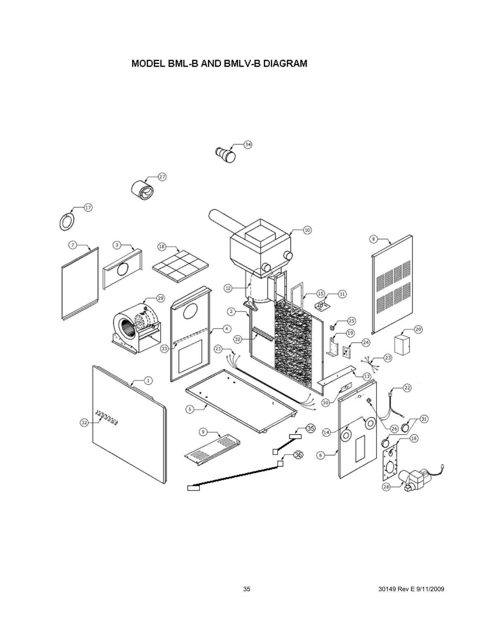# MODEL BML-B AND BMLV-B DIAGRAM